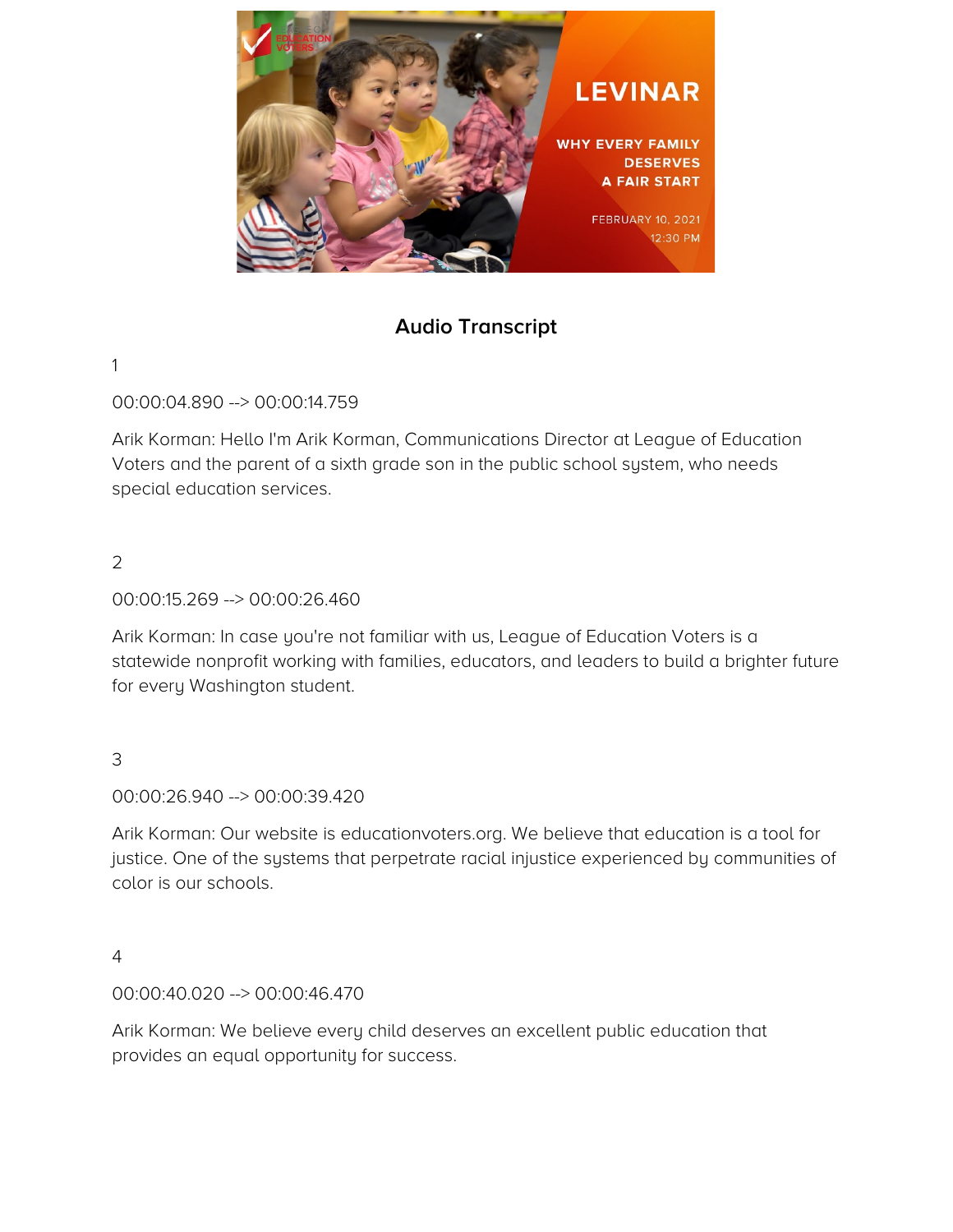

# **Audio Transcript**

#### 1

00:00:04.890 --> 00:00:14.759

Arik Korman: Hello I'm Arik Korman, Communications Director at League of Education Voters and the parent of a sixth grade son in the public school system, who needs special education services.

### $\mathcal{L}$

00:00:15.269 --> 00:00:26.460

Arik Korman: In case you're not familiar with us, League of Education Voters is a statewide nonprofit working with families, educators, and leaders to build a brighter future for every Washington student.

### 3

00:00:26.940 --> 00:00:39.420

Arik Korman: Our website is educationvoters.org. We believe that education is a tool for justice. One of the systems that perpetrate racial injustice experienced by communities of color is our schools.

#### 4

00:00:40.020 --> 00:00:46.470

Arik Korman: We believe every child deserves an excellent public education that provides an equal opportunity for success.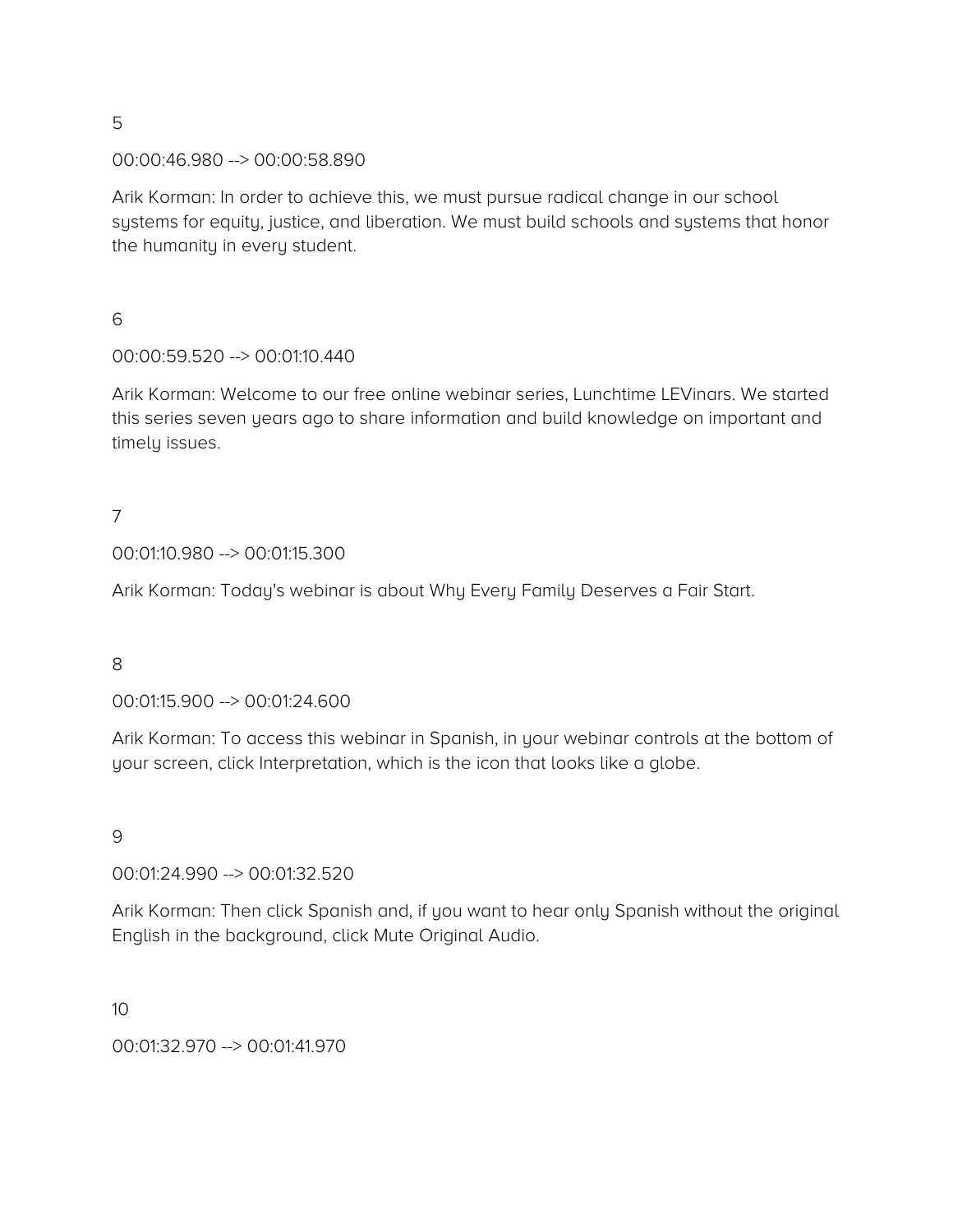#### 00:00:46.980 --> 00:00:58.890

Arik Korman: In order to achieve this, we must pursue radical change in our school systems for equity, justice, and liberation. We must build schools and systems that honor the humanity in every student.

6

### 00:00:59.520 --> 00:01:10.440

Arik Korman: Welcome to our free online webinar series, Lunchtime LEVinars. We started this series seven years ago to share information and build knowledge on important and timely issues.

# 7

00:01:10.980 --> 00:01:15.300

Arik Korman: Today's webinar is about Why Every Family Deserves a Fair Start.

#### 8

00:01:15.900 --> 00:01:24.600

Arik Korman: To access this webinar in Spanish, in your webinar controls at the bottom of your screen, click Interpretation, which is the icon that looks like a globe.

#### 9

#### 00:01:24.990 --> 00:01:32.520

Arik Korman: Then click Spanish and, if you want to hear only Spanish without the original English in the background, click Mute Original Audio.

#### 10

00:01:32.970 --> 00:01:41.970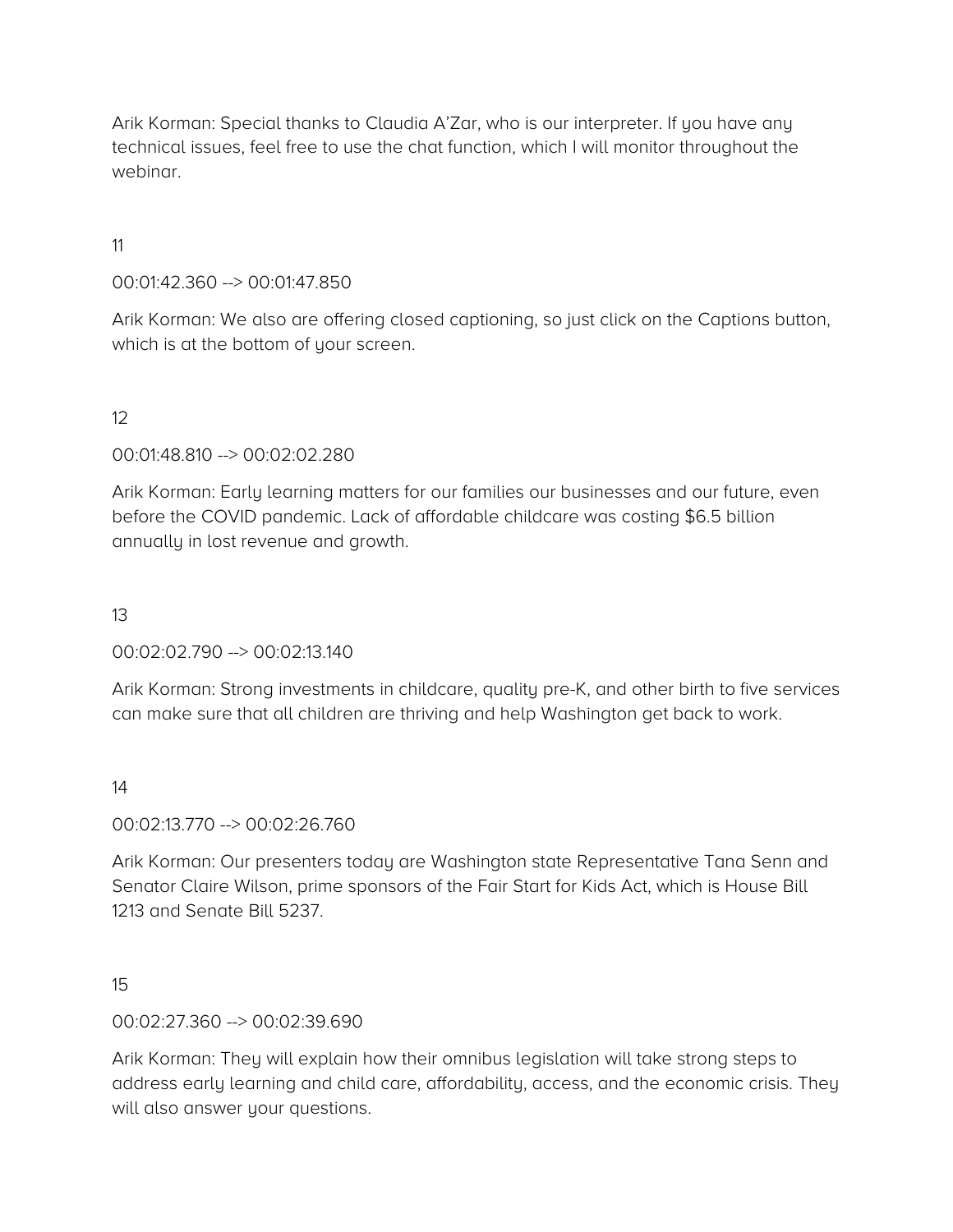Arik Korman: Special thanks to Claudia A'Zar, who is our interpreter. If you have any technical issues, feel free to use the chat function, which I will monitor throughout the webinar.

11

### 00:01:42.360 --> 00:01:47.850

Arik Korman: We also are offering closed captioning, so just click on the Captions button, which is at the bottom of your screen.

### 12

00:01:48.810 --> 00:02:02.280

Arik Korman: Early learning matters for our families our businesses and our future, even before the COVID pandemic. Lack of affordable childcare was costing \$6.5 billion annually in lost revenue and growth.

### 13

00:02:02.790 --> 00:02:13.140

Arik Korman: Strong investments in childcare, quality pre-K, and other birth to five services can make sure that all children are thriving and help Washington get back to work.

14

00:02:13.770 --> 00:02:26.760

Arik Korman: Our presenters today are Washington state Representative Tana Senn and Senator Claire Wilson, prime sponsors of the Fair Start for Kids Act, which is House Bill 1213 and Senate Bill 5237.

15

00:02:27.360 --> 00:02:39.690

Arik Korman: They will explain how their omnibus legislation will take strong steps to address early learning and child care, affordability, access, and the economic crisis. They will also answer your questions.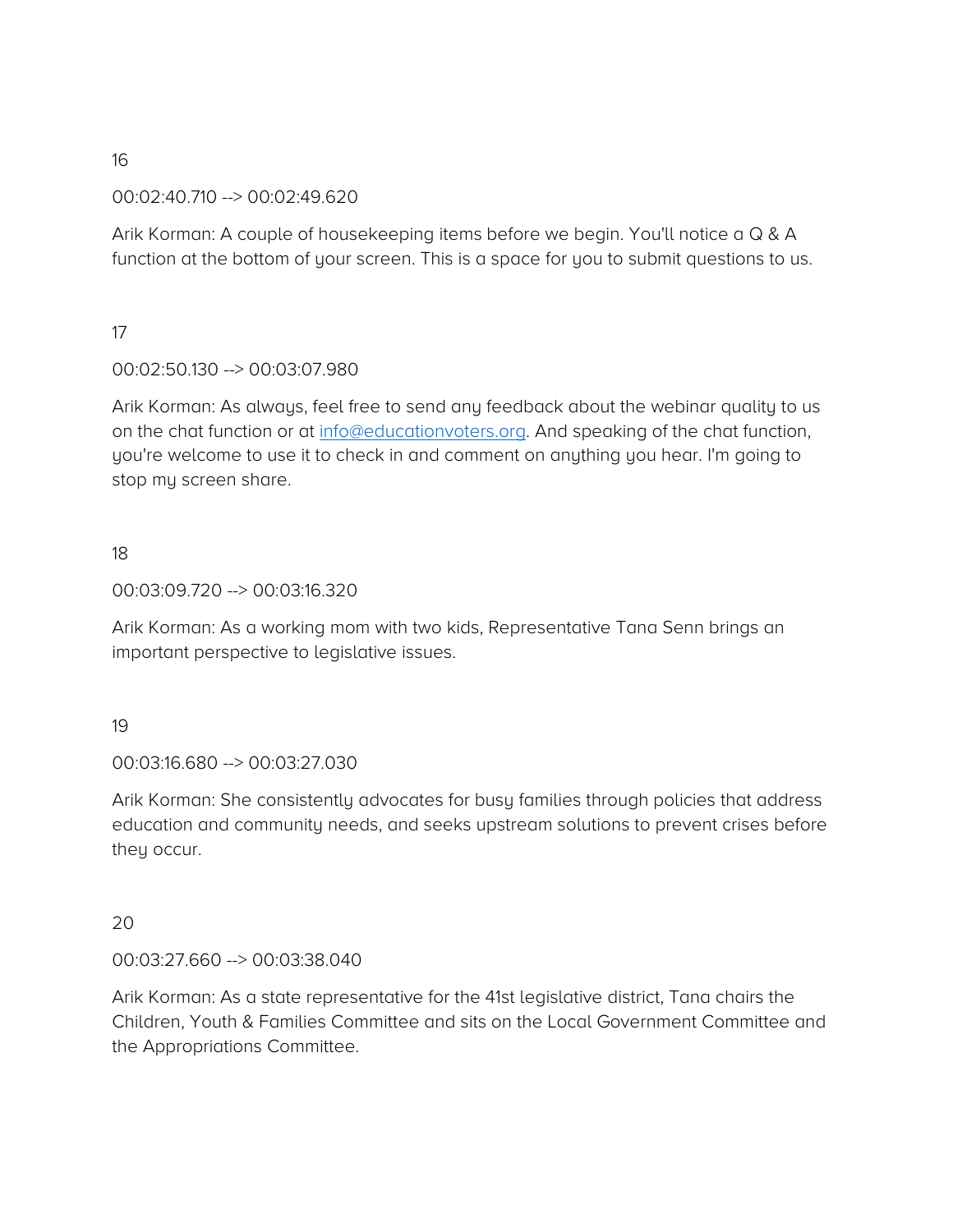00:02:40.710 --> 00:02:49.620

Arik Korman: A couple of housekeeping items before we begin. You'll notice a Q & A function at the bottom of your screen. This is a space for you to submit questions to us.

### 17

### 00:02:50.130 --> 00:03:07.980

Arik Korman: As always, feel free to send any feedback about the webinar quality to us on the chat function or at [info@educationvoters.org.](mailto:info@educationvoters.org) And speaking of the chat function, you're welcome to use it to check in and comment on anything you hear. I'm going to stop my screen share.

#### 18

#### 00:03:09.720 --> 00:03:16.320

Arik Korman: As a working mom with two kids, Representative Tana Senn brings an important perspective to legislative issues.

#### 19

#### 00:03:16.680 --> 00:03:27.030

Arik Korman: She consistently advocates for busy families through policies that address education and community needs, and seeks upstream solutions to prevent crises before they occur.

#### 20

#### 00:03:27.660 --> 00:03:38.040

Arik Korman: As a state representative for the 41st legislative district, Tana chairs the Children, Youth & Families Committee and sits on the Local Government Committee and the Appropriations Committee.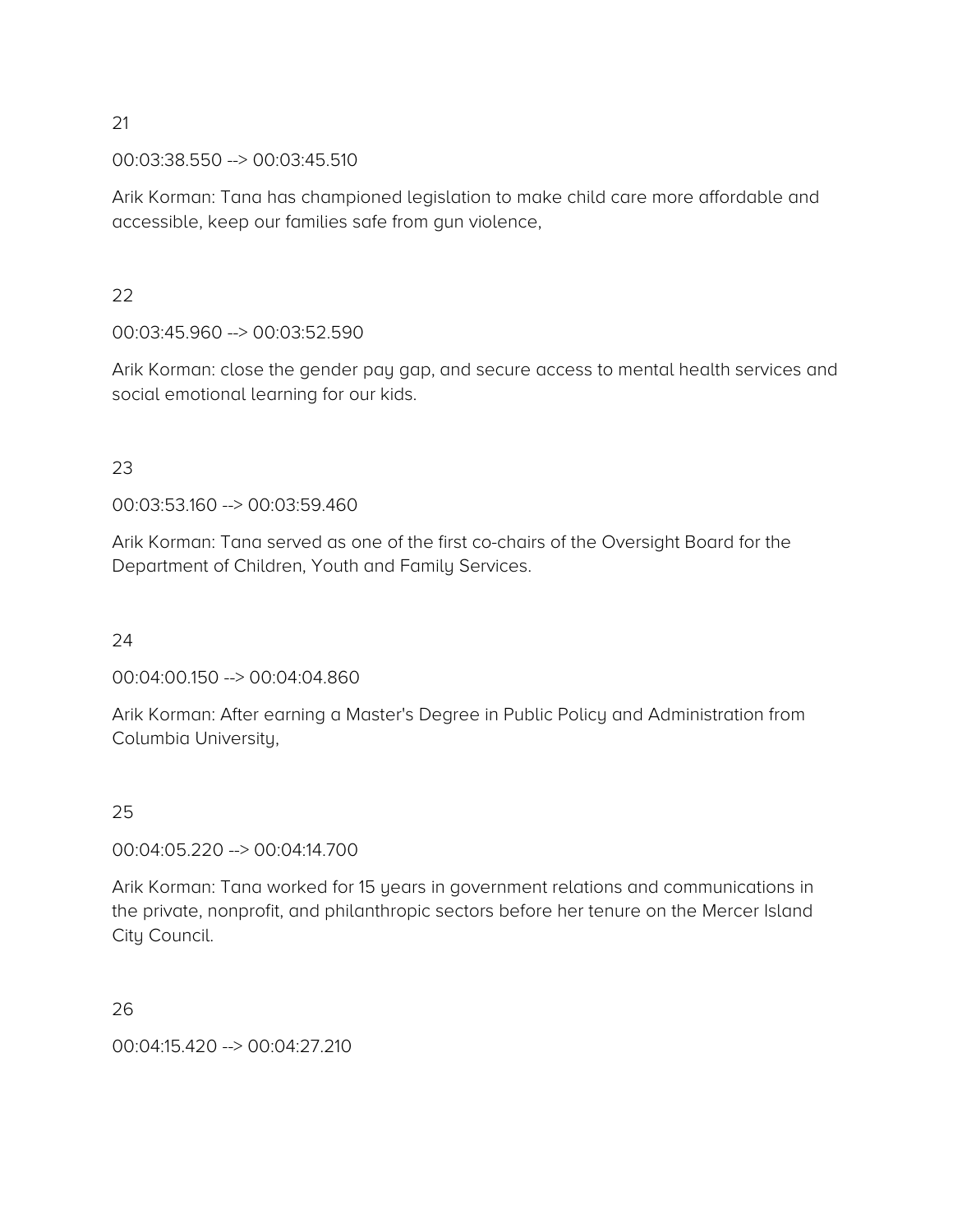00:03:38.550 --> 00:03:45.510

Arik Korman: Tana has championed legislation to make child care more affordable and accessible, keep our families safe from gun violence,

### $22$

00:03:45.960 --> 00:03:52.590

Arik Korman: close the gender pay gap, and secure access to mental health services and social emotional learning for our kids.

### 23

00:03:53.160 --> 00:03:59.460

Arik Korman: Tana served as one of the first co-chairs of the Oversight Board for the Department of Children, Youth and Family Services.

### 24

00:04:00.150 --> 00:04:04.860

Arik Korman: After earning a Master's Degree in Public Policy and Administration from Columbia University,

### 25

00:04:05.220 --> 00:04:14.700

Arik Korman: Tana worked for 15 years in government relations and communications in the private, nonprofit, and philanthropic sectors before her tenure on the Mercer Island City Council.

26

00:04:15.420 --> 00:04:27.210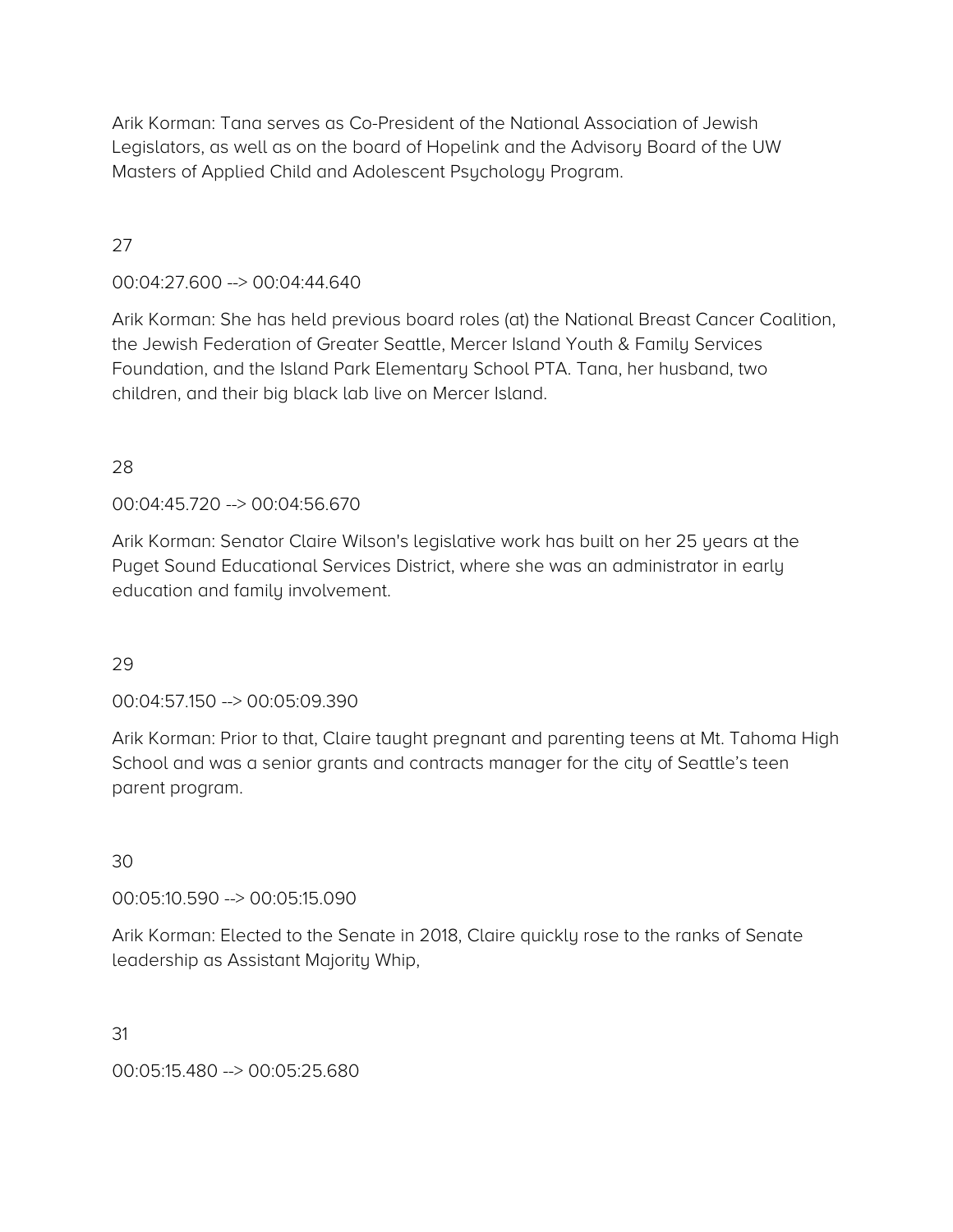Arik Korman: Tana serves as Co-President of the National Association of Jewish Legislators, as well as on the board of Hopelink and the Advisory Board of the UW Masters of Applied Child and Adolescent Psychology Program.

# 27

00:04:27.600 --> 00:04:44.640

Arik Korman: She has held previous board roles (at) the National Breast Cancer Coalition, the Jewish Federation of Greater Seattle, Mercer Island Youth & Family Services Foundation, and the Island Park Elementary School PTA. Tana, her husband, two children, and their big black lab live on Mercer Island.

### 28

00:04:45.720 --> 00:04:56.670

Arik Korman: Senator Claire Wilson's legislative work has built on her 25 years at the Puget Sound Educational Services District, where she was an administrator in early education and family involvement.

#### 29

00:04:57.150 --> 00:05:09.390

Arik Korman: Prior to that, Claire taught pregnant and parenting teens at Mt. Tahoma High School and was a senior grants and contracts manager for the city of Seattle's teen parent program.

#### 30

00:05:10.590 --> 00:05:15.090

Arik Korman: Elected to the Senate in 2018, Claire quickly rose to the ranks of Senate leadership as Assistant Majority Whip,

31

00:05:15.480 --> 00:05:25.680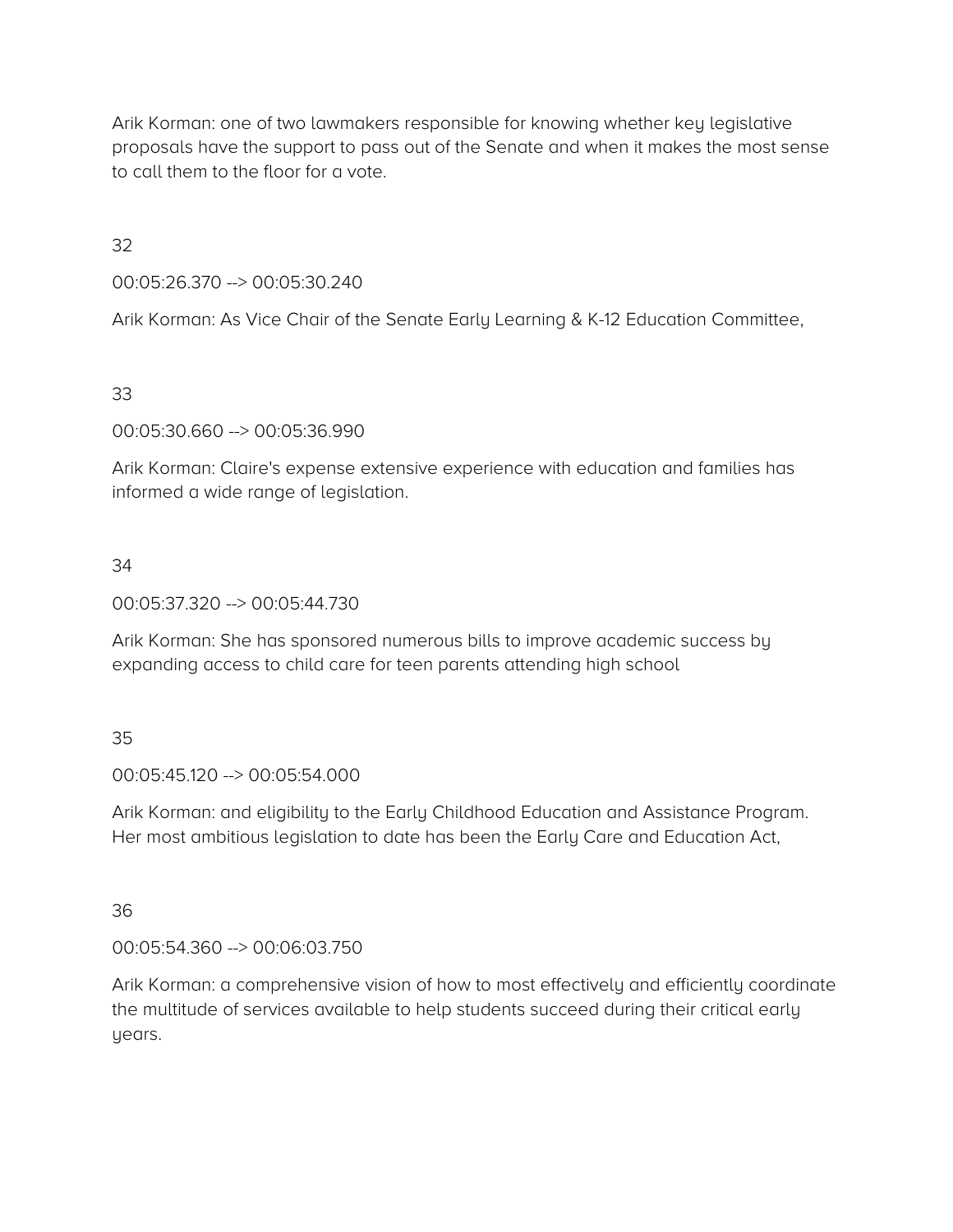Arik Korman: one of two lawmakers responsible for knowing whether key legislative proposals have the support to pass out of the Senate and when it makes the most sense to call them to the floor for a vote.

32

00:05:26.370 --> 00:05:30.240

Arik Korman: As Vice Chair of the Senate Early Learning & K-12 Education Committee,

33

00:05:30.660 --> 00:05:36.990

Arik Korman: Claire's expense extensive experience with education and families has informed a wide range of legislation.

### 34

00:05:37.320 --> 00:05:44.730

Arik Korman: She has sponsored numerous bills to improve academic success by expanding access to child care for teen parents attending high school

#### 35

00:05:45.120 --> 00:05:54.000

Arik Korman: and eligibility to the Early Childhood Education and Assistance Program. Her most ambitious legislation to date has been the Early Care and Education Act,

36

00:05:54.360 --> 00:06:03.750

Arik Korman: a comprehensive vision of how to most effectively and efficiently coordinate the multitude of services available to help students succeed during their critical early years.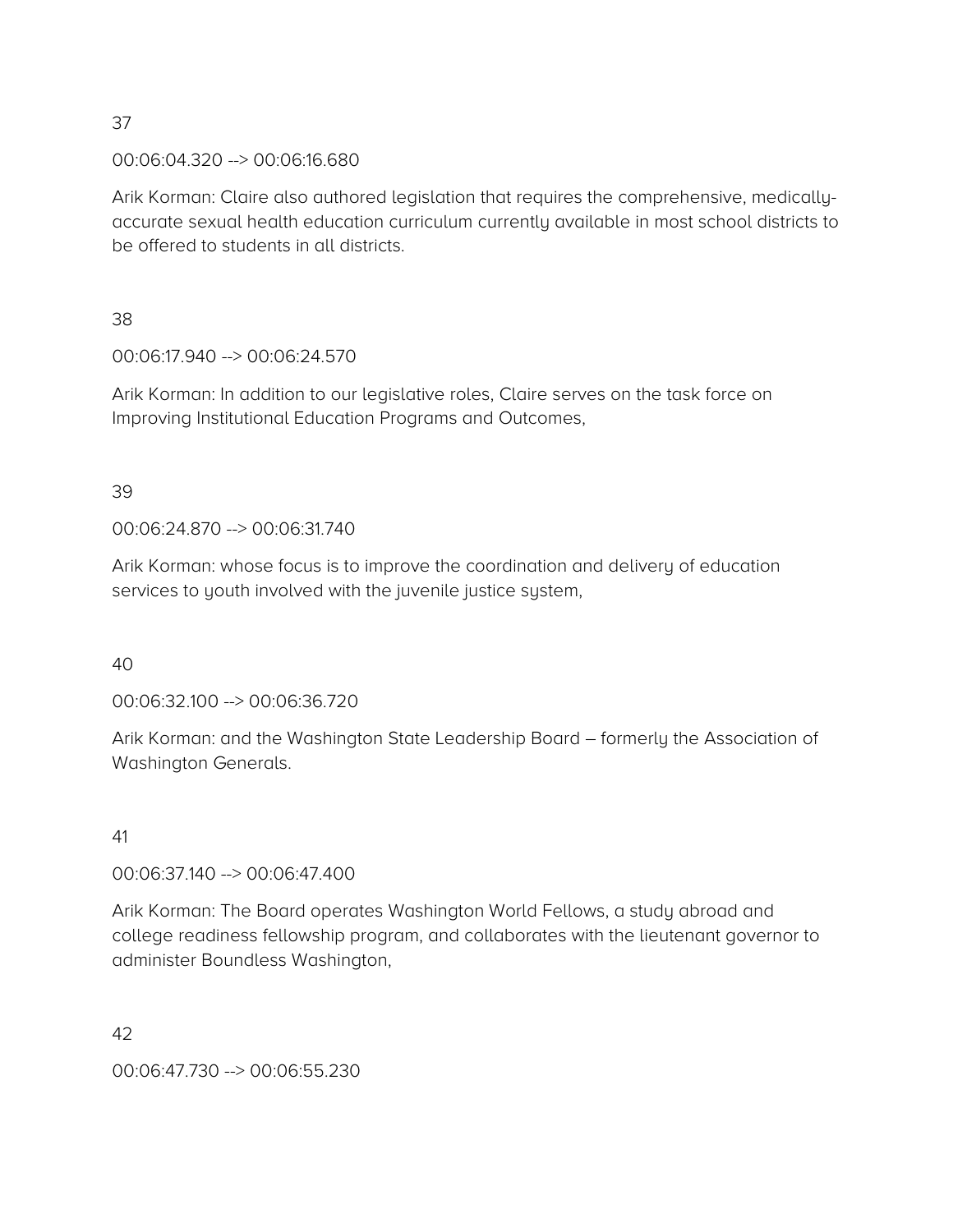00:06:04.320 --> 00:06:16.680

Arik Korman: Claire also authored legislation that requires the comprehensive, medicallyaccurate sexual health education curriculum currently available in most school districts to be offered to students in all districts.

38

00:06:17.940 --> 00:06:24.570

Arik Korman: In addition to our legislative roles, Claire serves on the task force on Improving Institutional Education Programs and Outcomes,

### 39

00:06:24.870 --> 00:06:31.740

Arik Korman: whose focus is to improve the coordination and delivery of education services to youth involved with the juvenile justice system,

40

00:06:32.100 --> 00:06:36.720

Arik Korman: and the Washington State Leadership Board – formerly the Association of Washington Generals.

#### 41

00:06:37.140 --> 00:06:47.400

Arik Korman: The Board operates Washington World Fellows, a study abroad and college readiness fellowship program, and collaborates with the lieutenant governor to administer Boundless Washington,

42

00:06:47.730 --> 00:06:55.230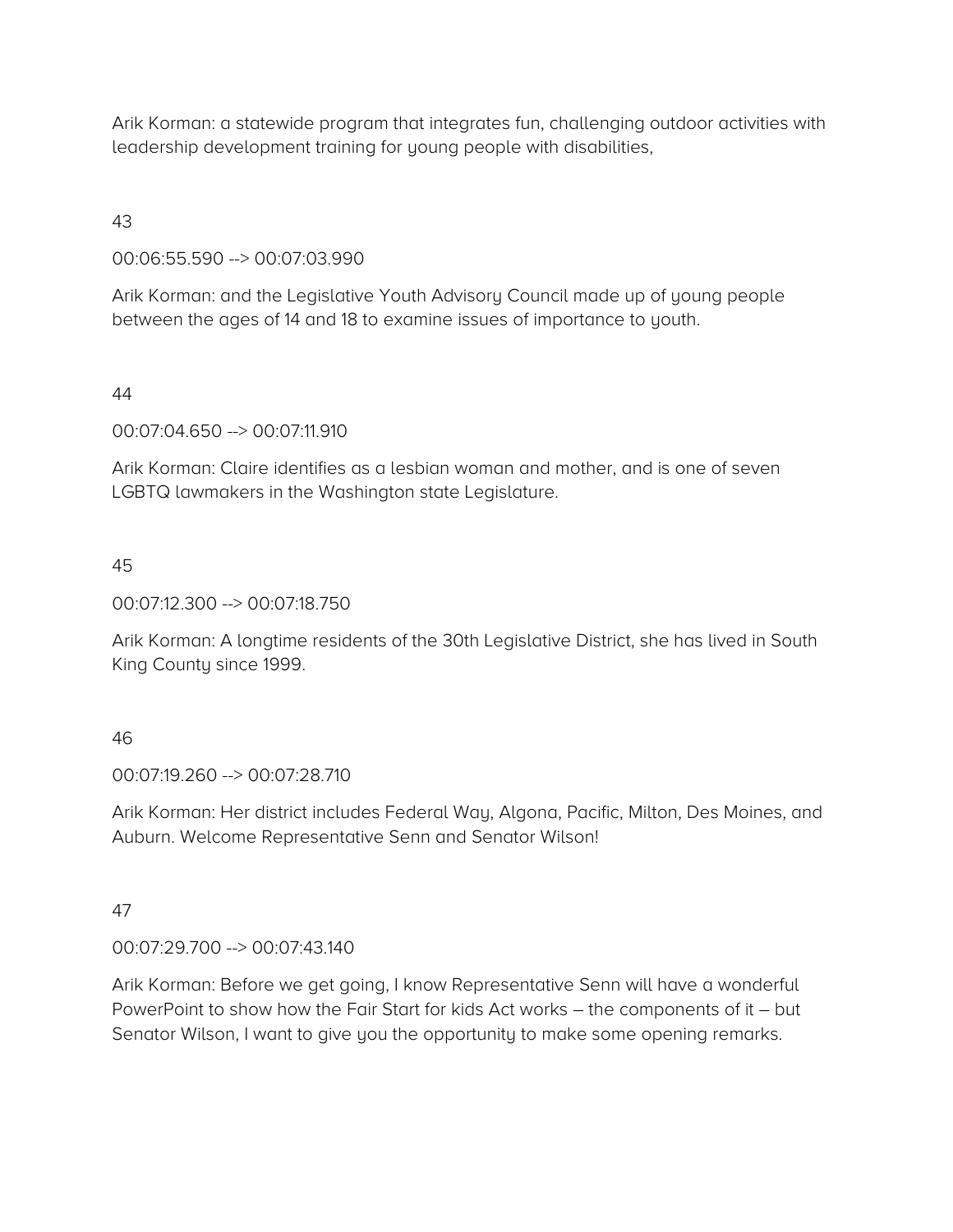Arik Korman: a statewide program that integrates fun, challenging outdoor activities with leadership development training for young people with disabilities,

43

00:06:55.590 --> 00:07:03.990

Arik Korman: and the Legislative Youth Advisory Council made up of young people between the ages of 14 and 18 to examine issues of importance to youth.

44

00:07:04.650 --> 00:07:11.910

Arik Korman: Claire identifies as a lesbian woman and mother, and is one of seven LGBTQ lawmakers in the Washington state Legislature.

45

00:07:12.300 --> 00:07:18.750

Arik Korman: A longtime residents of the 30th Legislative District, she has lived in South King County since 1999.

46

00:07:19.260 --> 00:07:28.710

Arik Korman: Her district includes Federal Way, Algona, Pacific, Milton, Des Moines, and Auburn. Welcome Representative Senn and Senator Wilson!

47

00:07:29.700 --> 00:07:43.140

Arik Korman: Before we get going, I know Representative Senn will have a wonderful PowerPoint to show how the Fair Start for kids Act works – the components of it – but Senator Wilson, I want to give you the opportunity to make some opening remarks.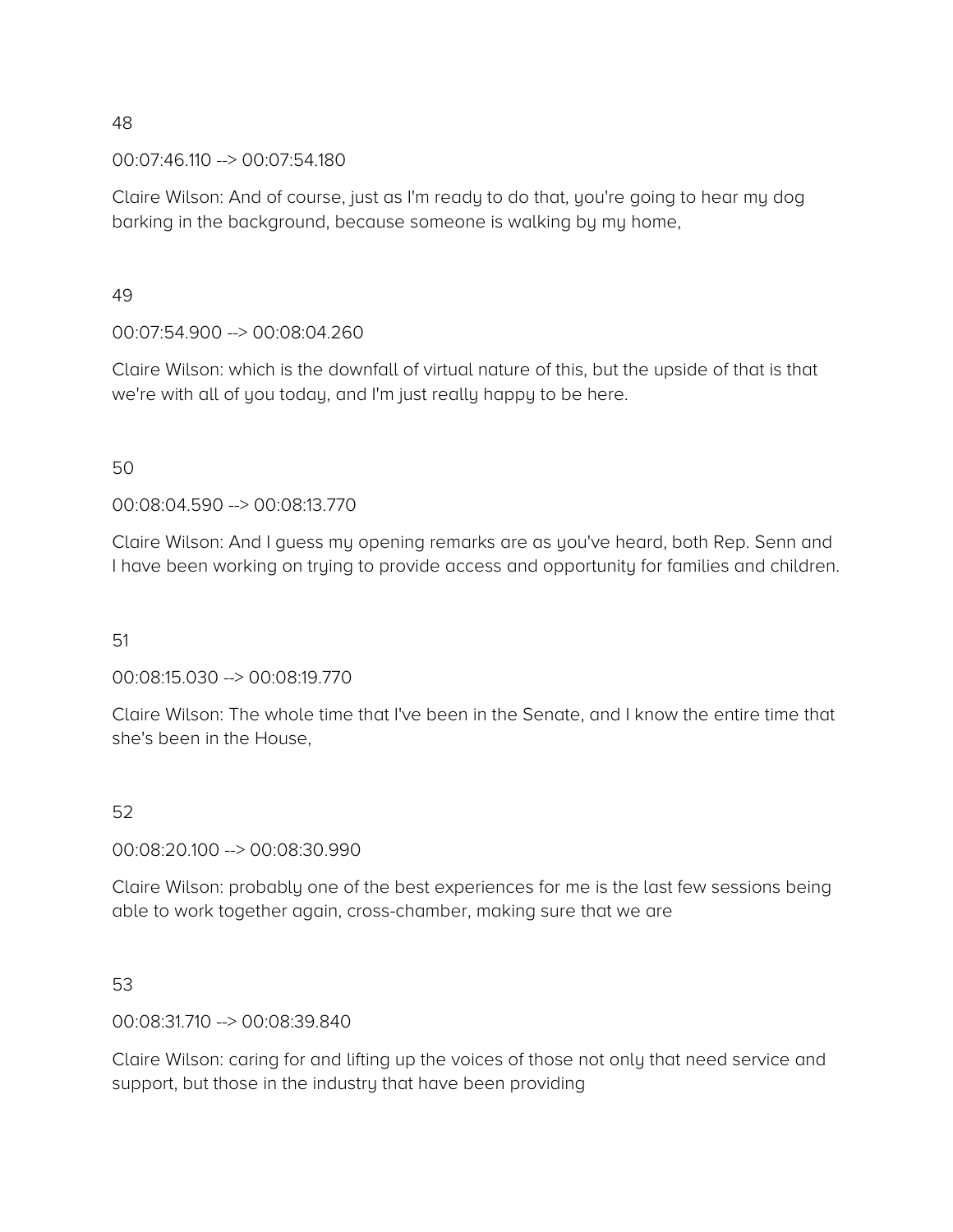00:07:46.110 --> 00:07:54.180

Claire Wilson: And of course, just as I'm ready to do that, you're going to hear my dog barking in the background, because someone is walking by my home,

49

00:07:54.900 --> 00:08:04.260

Claire Wilson: which is the downfall of virtual nature of this, but the upside of that is that we're with all of you today, and I'm just really happy to be here.

50

00:08:04.590 --> 00:08:13.770

Claire Wilson: And I guess my opening remarks are as you've heard, both Rep. Senn and I have been working on trying to provide access and opportunity for families and children.

51

00:08:15.030 --> 00:08:19.770

Claire Wilson: The whole time that I've been in the Senate, and I know the entire time that she's been in the House,

52

00:08:20.100 --> 00:08:30.990

Claire Wilson: probably one of the best experiences for me is the last few sessions being able to work together again, cross-chamber, making sure that we are

53

00:08:31.710 --> 00:08:39.840

Claire Wilson: caring for and lifting up the voices of those not only that need service and support, but those in the industry that have been providing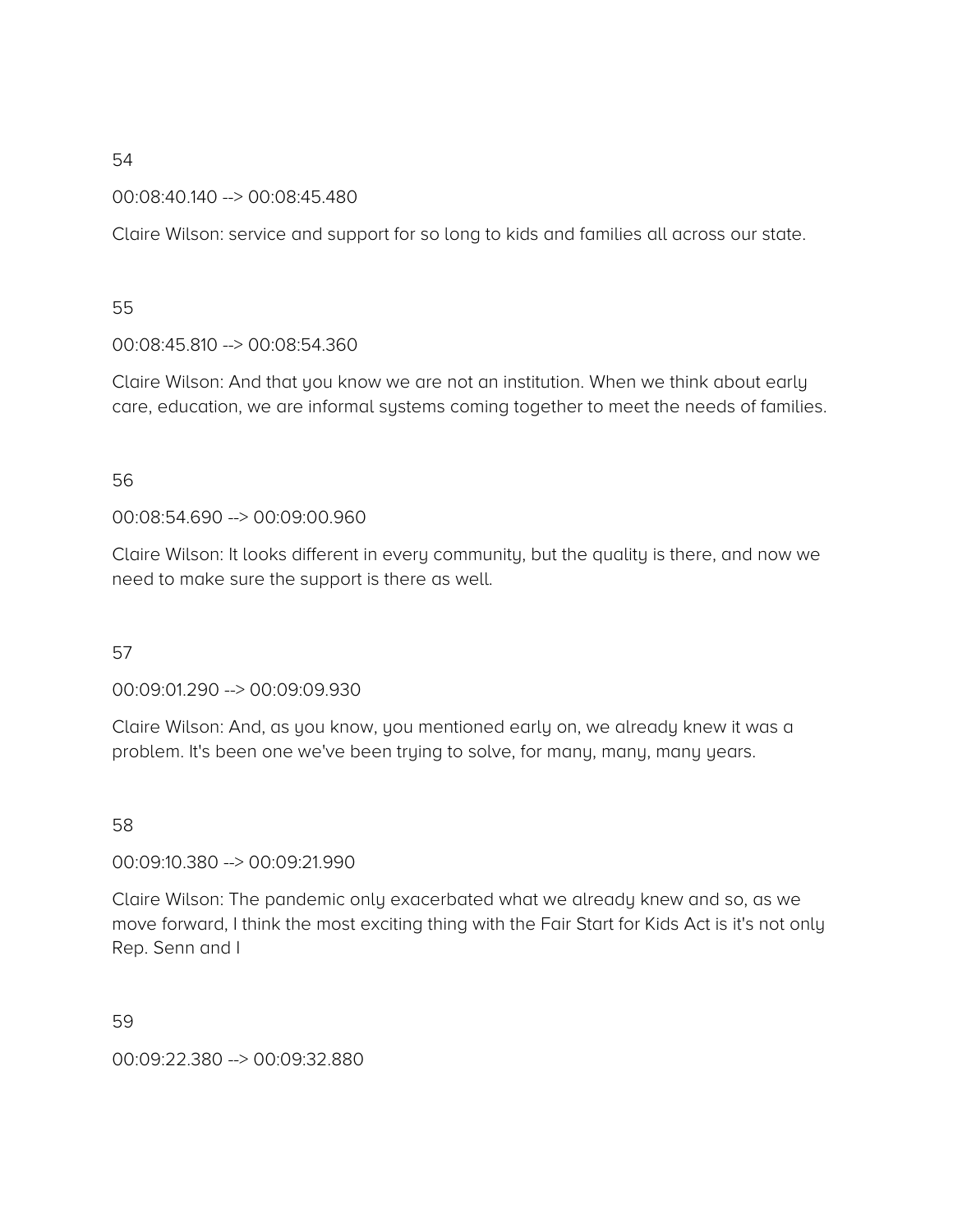00:08:40.140 --> 00:08:45.480

Claire Wilson: service and support for so long to kids and families all across our state.

### 55

00:08:45.810 --> 00:08:54.360

Claire Wilson: And that you know we are not an institution. When we think about early care, education, we are informal systems coming together to meet the needs of families.

### 56

00:08:54.690 --> 00:09:00.960

Claire Wilson: It looks different in every community, but the quality is there, and now we need to make sure the support is there as well.

### 57

00:09:01.290 --> 00:09:09.930

Claire Wilson: And, as you know, you mentioned early on, we already knew it was a problem. It's been one we've been trying to solve, for many, many, many years.

### 58

00:09:10.380 --> 00:09:21.990

Claire Wilson: The pandemic only exacerbated what we already knew and so, as we move forward, I think the most exciting thing with the Fair Start for Kids Act is it's not only Rep. Senn and I

59

00:09:22.380 --> 00:09:32.880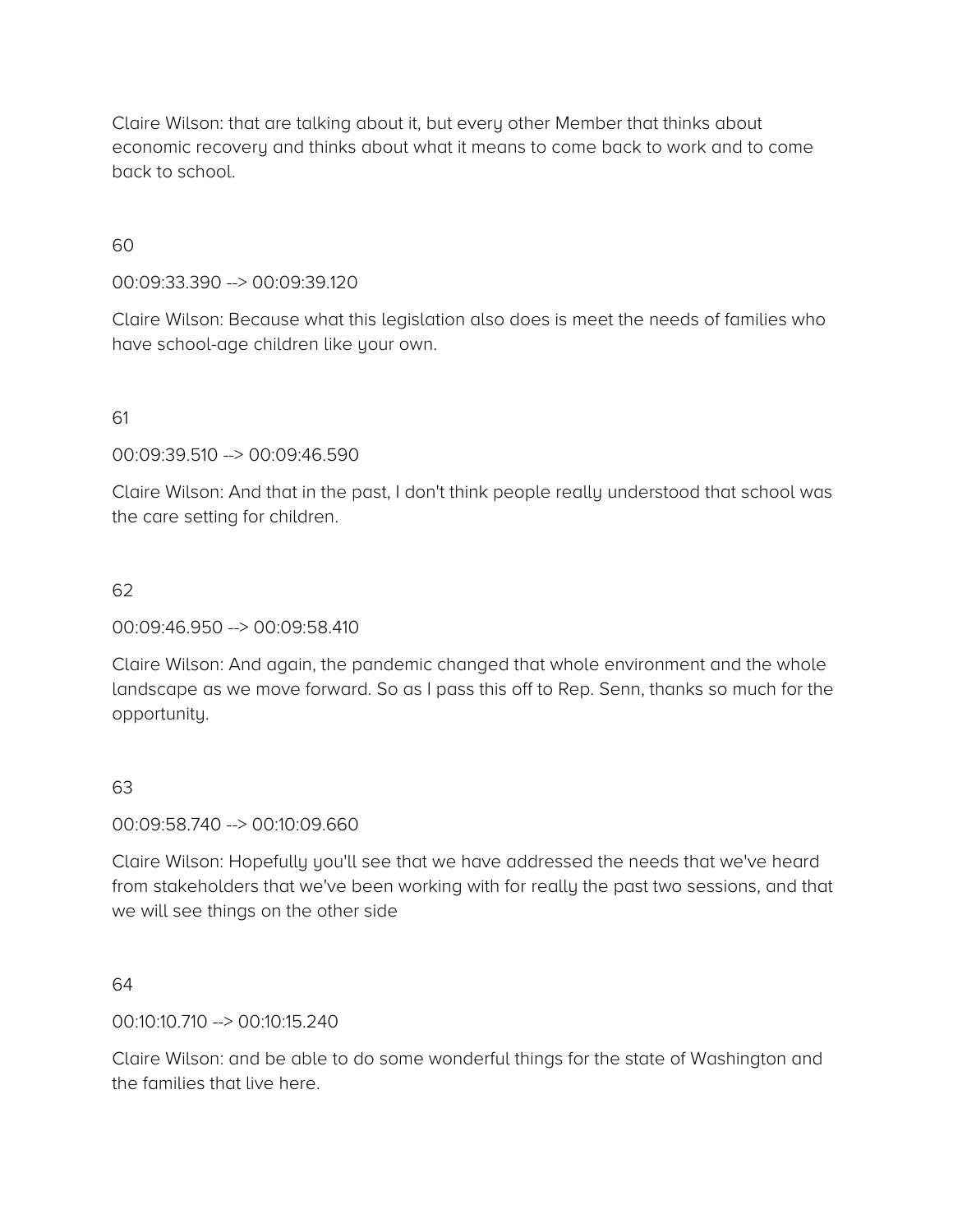Claire Wilson: that are talking about it, but every other Member that thinks about economic recovery and thinks about what it means to come back to work and to come back to school.

60

00:09:33.390 --> 00:09:39.120

Claire Wilson: Because what this legislation also does is meet the needs of families who have school-age children like your own.

61

00:09:39.510 --> 00:09:46.590

Claire Wilson: And that in the past, I don't think people really understood that school was the care setting for children.

### 62

00:09:46.950 --> 00:09:58.410

Claire Wilson: And again, the pandemic changed that whole environment and the whole landscape as we move forward. So as I pass this off to Rep. Senn, thanks so much for the opportunity.

#### 63

00:09:58.740 --> 00:10:09.660

Claire Wilson: Hopefully you'll see that we have addressed the needs that we've heard from stakeholders that we've been working with for really the past two sessions, and that we will see things on the other side

64

00:10:10.710 --> 00:10:15.240

Claire Wilson: and be able to do some wonderful things for the state of Washington and the families that live here.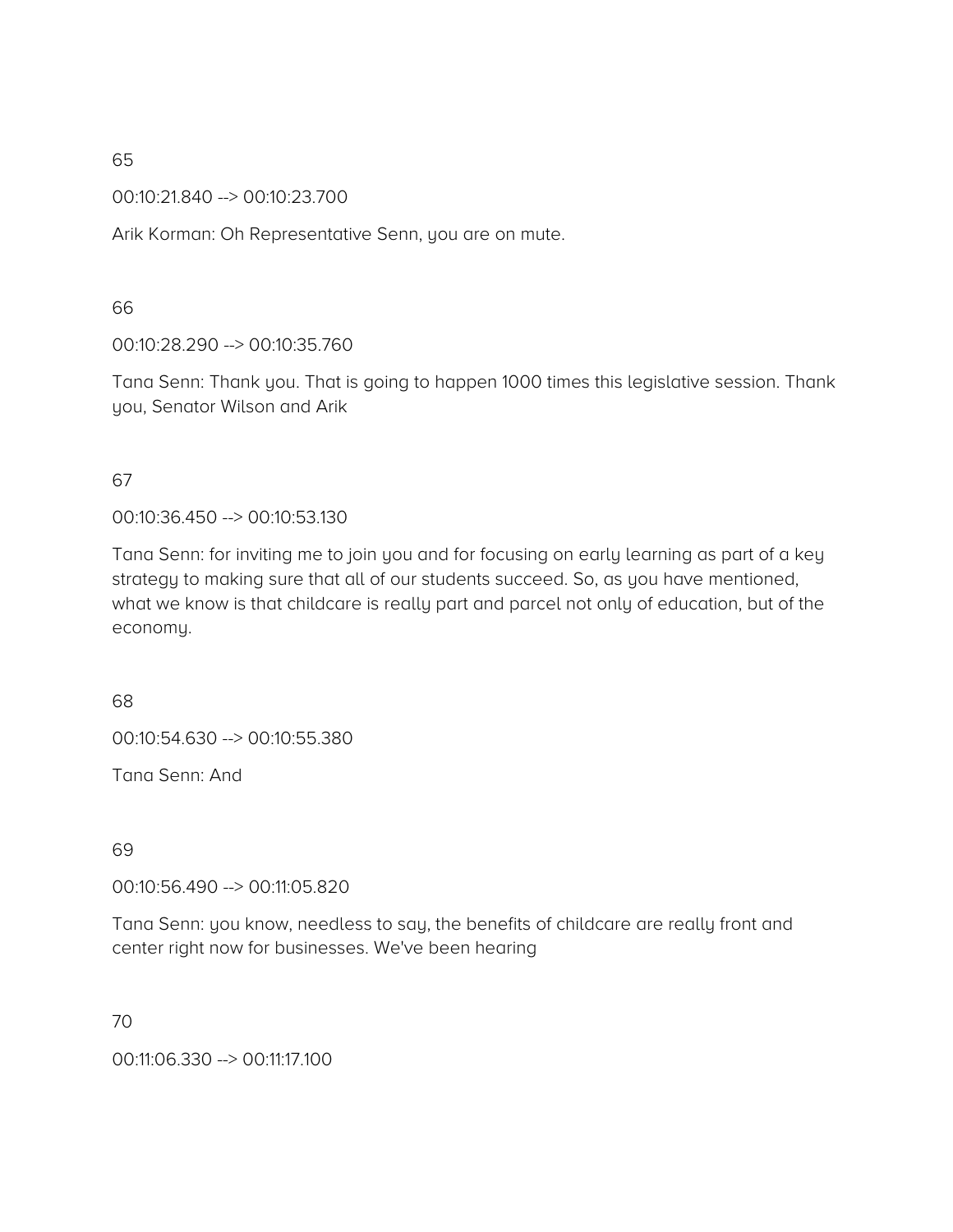00:10:21.840 --> 00:10:23.700

Arik Korman: Oh Representative Senn, you are on mute.

66

00:10:28.290 --> 00:10:35.760

Tana Senn: Thank you. That is going to happen 1000 times this legislative session. Thank you, Senator Wilson and Arik

67

00:10:36.450 --> 00:10:53.130

Tana Senn: for inviting me to join you and for focusing on early learning as part of a key strategy to making sure that all of our students succeed. So, as you have mentioned, what we know is that childcare is really part and parcel not only of education, but of the economy.

68

00:10:54.630 --> 00:10:55.380

Tana Senn: And

69

00:10:56.490 --> 00:11:05.820

Tana Senn: you know, needless to say, the benefits of childcare are really front and center right now for businesses. We've been hearing

70

00:11:06.330 --> 00:11:17.100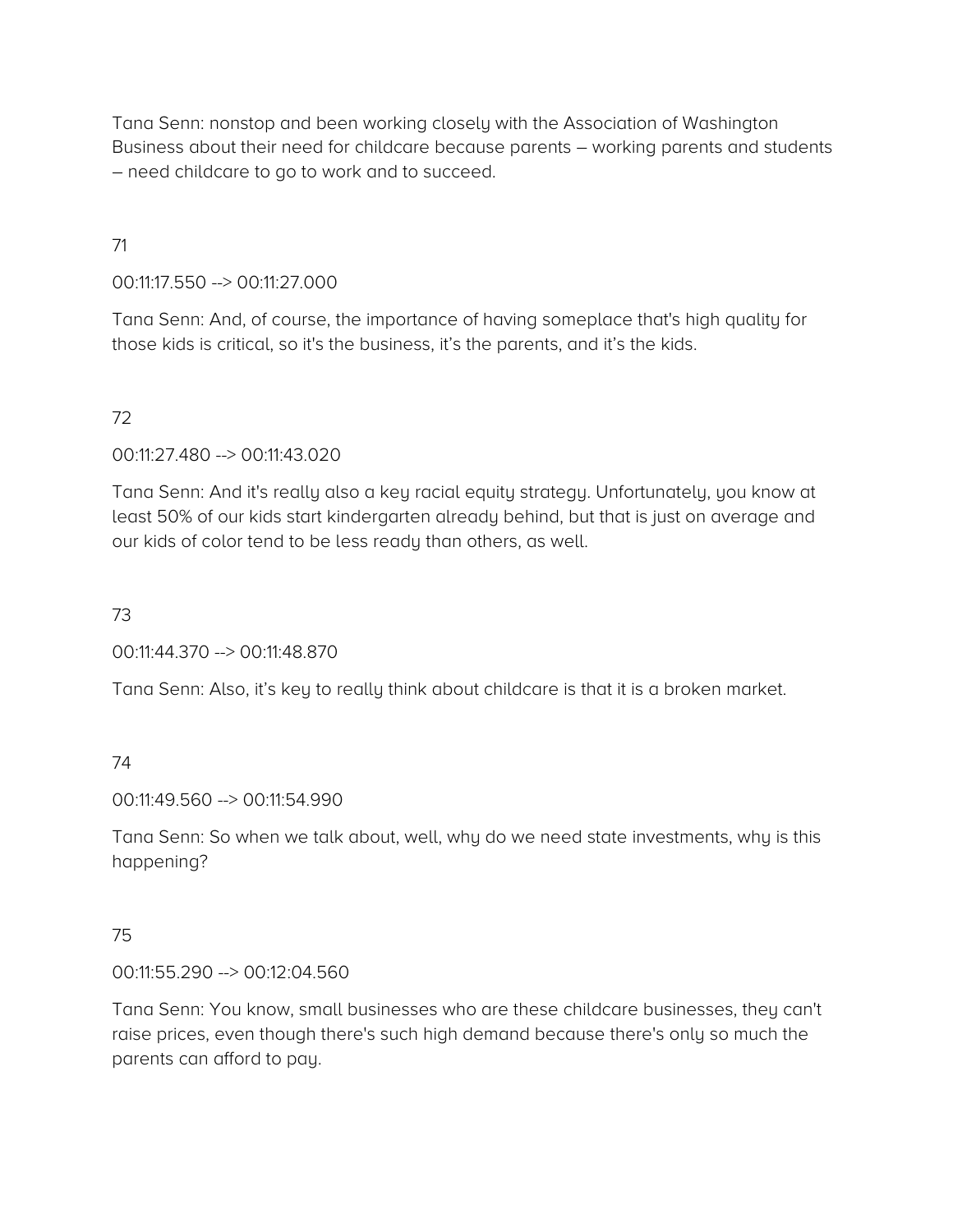Tana Senn: nonstop and been working closely with the Association of Washington Business about their need for childcare because parents – working parents and students – need childcare to go to work and to succeed.

### 71

00:11:17.550 --> 00:11:27.000

Tana Senn: And, of course, the importance of having someplace that's high quality for those kids is critical, so it's the business, it's the parents, and it's the kids.

# 72

00:11:27.480 --> 00:11:43.020

Tana Senn: And it's really also a key racial equity strategy. Unfortunately, you know at least 50% of our kids start kindergarten already behind, but that is just on average and our kids of color tend to be less ready than others, as well.

### 73

00:11:44.370 --> 00:11:48.870

Tana Senn: Also, it's key to really think about childcare is that it is a broken market.

#### 74

00:11:49.560 --> 00:11:54.990

Tana Senn: So when we talk about, well, why do we need state investments, why is this happening?

#### 75

00:11:55.290 --> 00:12:04.560

Tana Senn: You know, small businesses who are these childcare businesses, they can't raise prices, even though there's such high demand because there's only so much the parents can afford to pay.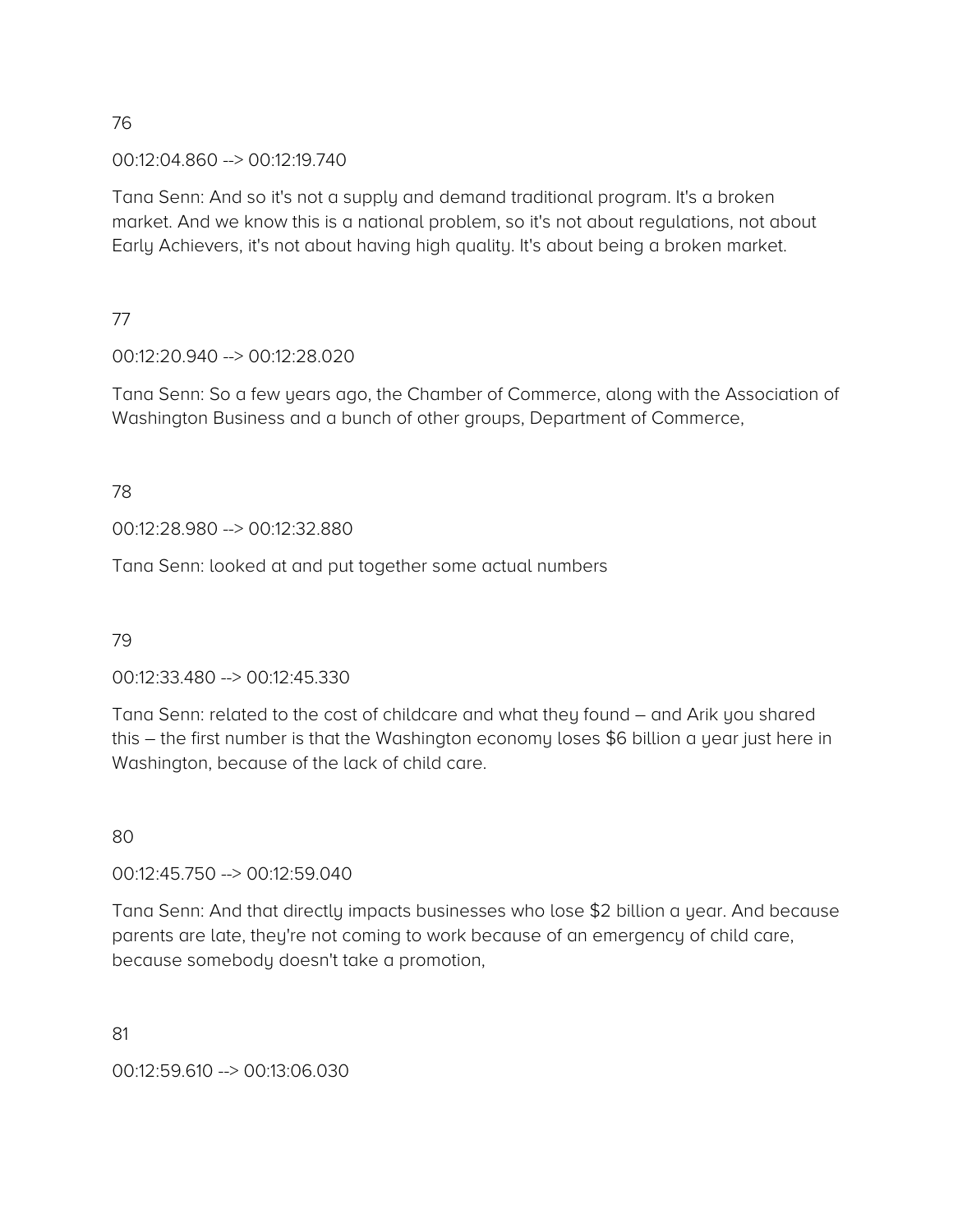00:12:04.860 --> 00:12:19.740

Tana Senn: And so it's not a supply and demand traditional program. It's a broken market. And we know this is a national problem, so it's not about regulations, not about Early Achievers, it's not about having high quality. It's about being a broken market.

77

00:12:20.940 --> 00:12:28.020

Tana Senn: So a few years ago, the Chamber of Commerce, along with the Association of Washington Business and a bunch of other groups, Department of Commerce,

78

00:12:28.980 --> 00:12:32.880

Tana Senn: looked at and put together some actual numbers

79

00:12:33.480 --> 00:12:45.330

Tana Senn: related to the cost of childcare and what they found – and Arik you shared this – the first number is that the Washington economy loses \$6 billion a year just here in Washington, because of the lack of child care.

80

00:12:45.750 --> 00:12:59.040

Tana Senn: And that directly impacts businesses who lose \$2 billion a year. And because parents are late, they're not coming to work because of an emergency of child care, because somebody doesn't take a promotion,

81

00:12:59.610 --> 00:13:06.030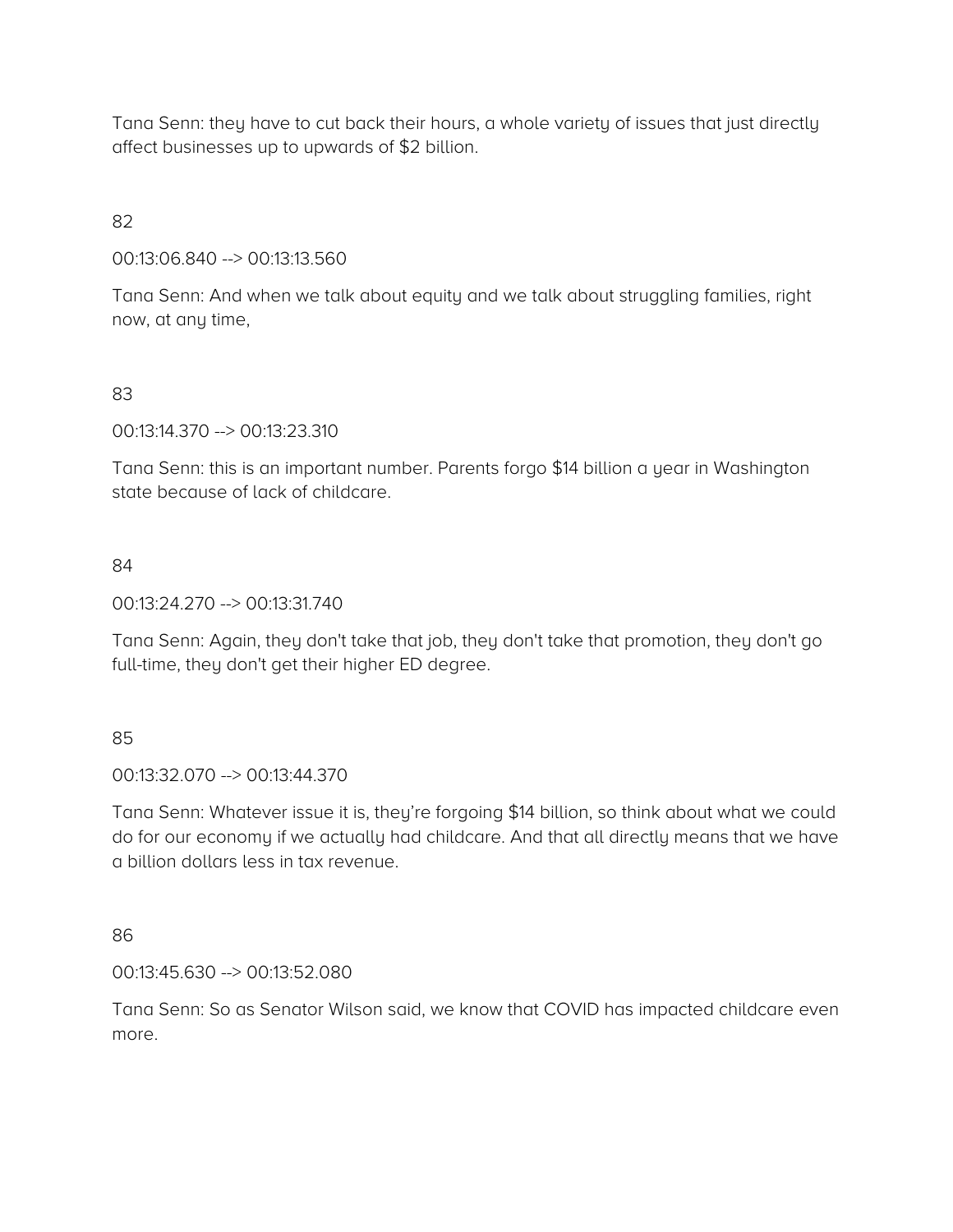Tana Senn: they have to cut back their hours, a whole variety of issues that just directly affect businesses up to upwards of \$2 billion.

82

00:13:06.840 --> 00:13:13.560

Tana Senn: And when we talk about equity and we talk about struggling families, right now, at any time,

### 83

00:13:14.370 --> 00:13:23.310

Tana Senn: this is an important number. Parents forgo \$14 billion a year in Washington state because of lack of childcare.

### 84

00:13:24.270 --> 00:13:31.740

Tana Senn: Again, they don't take that job, they don't take that promotion, they don't go full-time, they don't get their higher ED degree.

#### 85

00:13:32.070 --> 00:13:44.370

Tana Senn: Whatever issue it is, they're forgoing \$14 billion, so think about what we could do for our economy if we actually had childcare. And that all directly means that we have a billion dollars less in tax revenue.

#### 86

00:13:45.630 --> 00:13:52.080

Tana Senn: So as Senator Wilson said, we know that COVID has impacted childcare even more.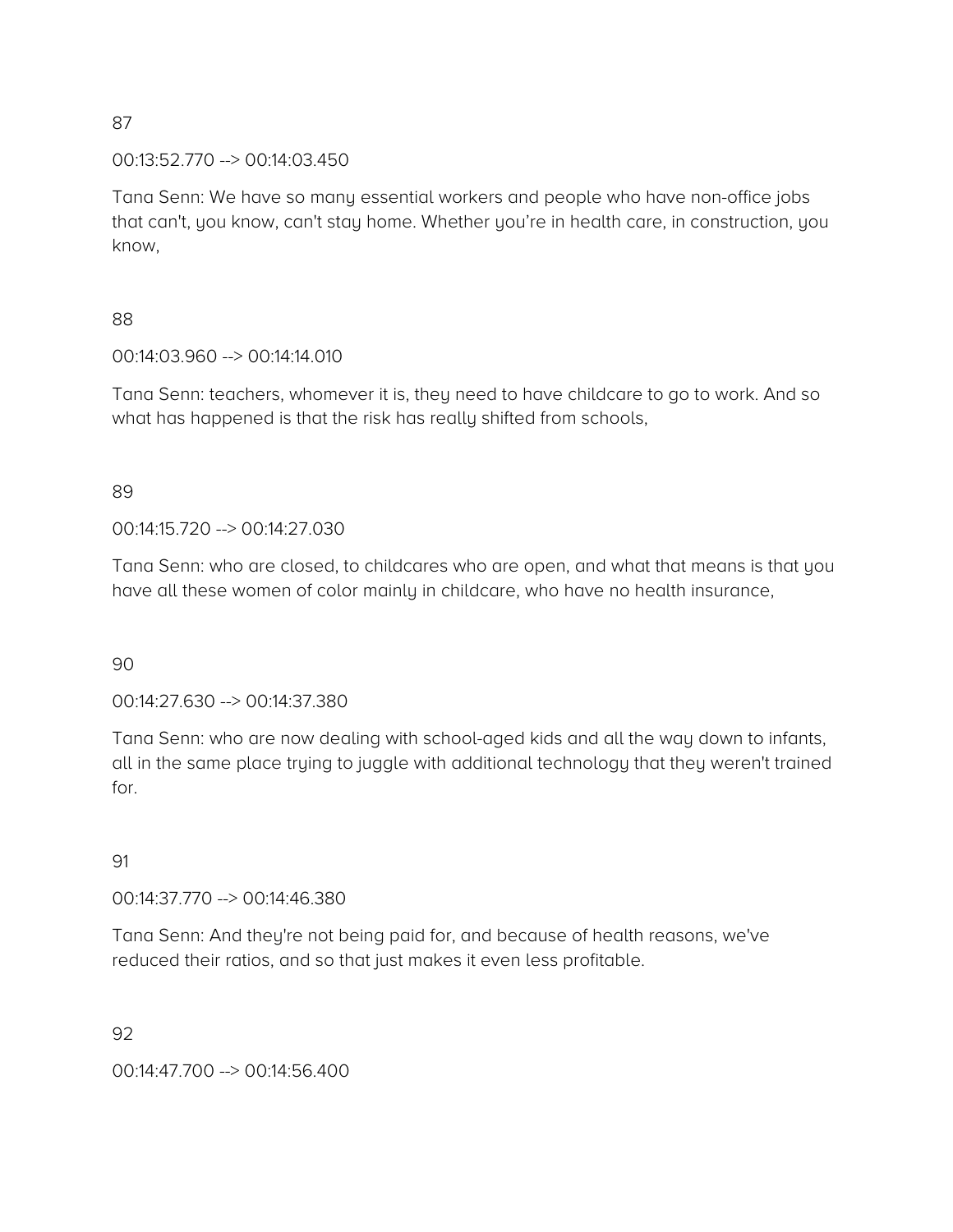00:13:52.770 --> 00:14:03.450

Tana Senn: We have so many essential workers and people who have non-office jobs that can't, you know, can't stay home. Whether you're in health care, in construction, you know,

### 88

00:14:03.960 --> 00:14:14.010

Tana Senn: teachers, whomever it is, they need to have childcare to go to work. And so what has happened is that the risk has really shifted from schools,

### 89

00:14:15.720 --> 00:14:27.030

Tana Senn: who are closed, to childcares who are open, and what that means is that you have all these women of color mainly in childcare, who have no health insurance,

#### 90

00:14:27.630 --> 00:14:37.380

Tana Senn: who are now dealing with school-aged kids and all the way down to infants, all in the same place trying to juggle with additional technology that they weren't trained for.

#### 91

00:14:37.770 --> 00:14:46.380

Tana Senn: And they're not being paid for, and because of health reasons, we've reduced their ratios, and so that just makes it even less profitable.

92

00:14:47.700 --> 00:14:56.400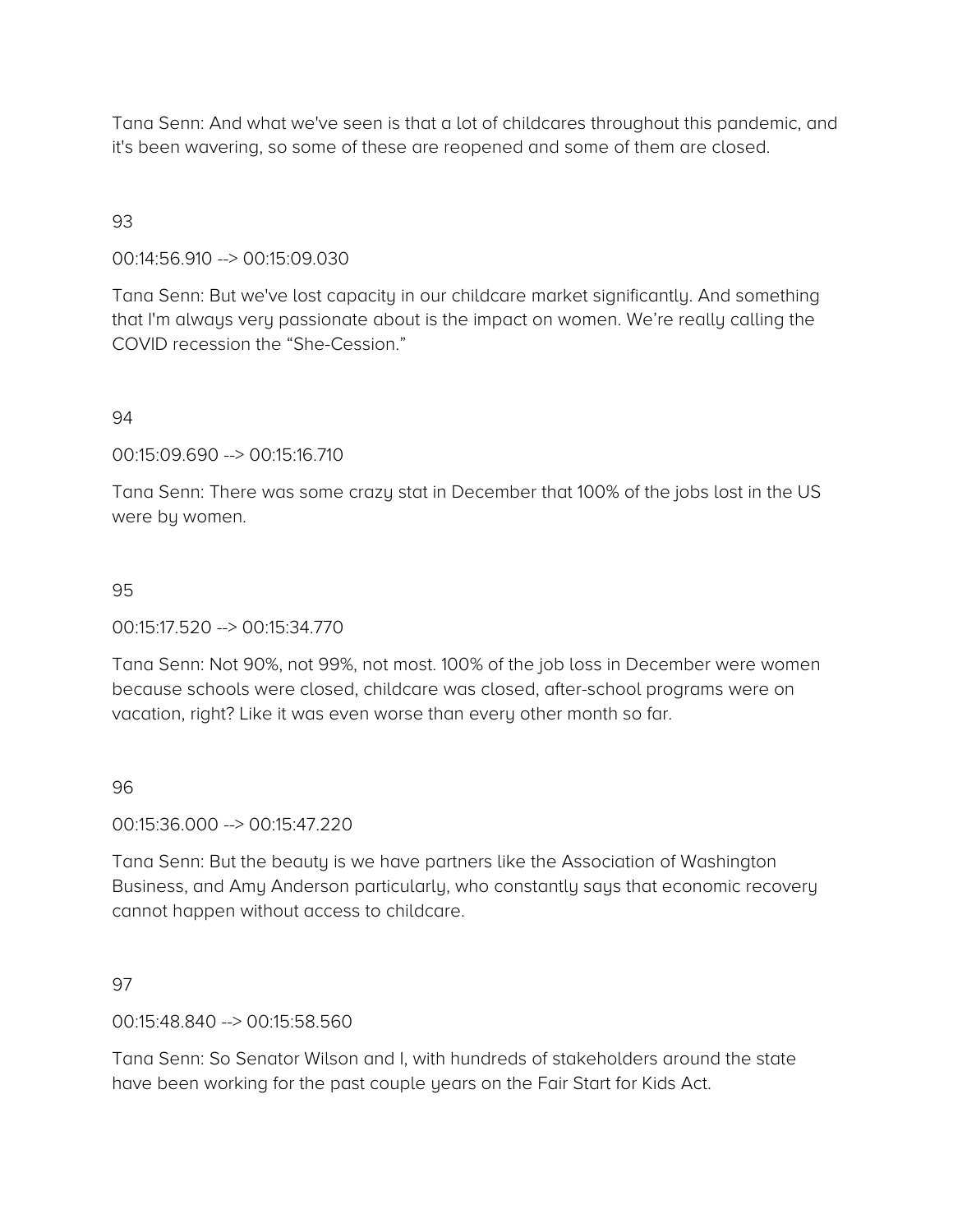Tana Senn: And what we've seen is that a lot of childcares throughout this pandemic, and it's been wavering, so some of these are reopened and some of them are closed.

### 93

### 00:14:56.910 --> 00:15:09.030

Tana Senn: But we've lost capacity in our childcare market significantly. And something that I'm always very passionate about is the impact on women. We're really calling the COVID recession the "She-Cession."

#### 94

00:15:09.690 --> 00:15:16.710

Tana Senn: There was some crazy stat in December that 100% of the jobs lost in the US were by women.

#### 95

00:15:17.520 --> 00:15:34.770

Tana Senn: Not 90%, not 99%, not most. 100% of the job loss in December were women because schools were closed, childcare was closed, after-school programs were on vacation, right? Like it was even worse than every other month so far.

#### 96

00:15:36.000 --> 00:15:47.220

Tana Senn: But the beauty is we have partners like the Association of Washington Business, and Amy Anderson particularly, who constantly says that economic recovery cannot happen without access to childcare.

#### 97

00:15:48.840 --> 00:15:58.560

Tana Senn: So Senator Wilson and I, with hundreds of stakeholders around the state have been working for the past couple years on the Fair Start for Kids Act.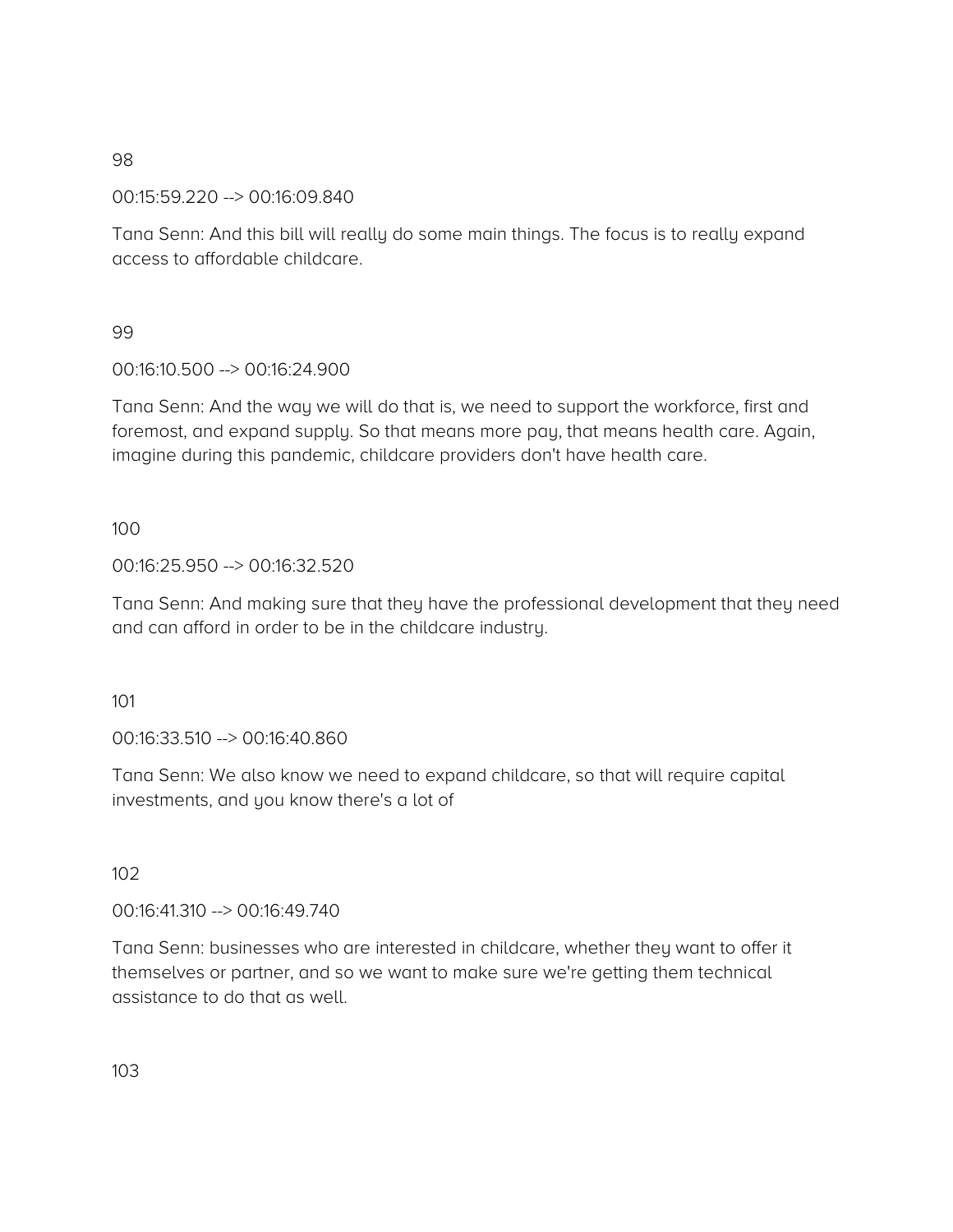00:15:59.220 --> 00:16:09.840

Tana Senn: And this bill will really do some main things. The focus is to really expand access to affordable childcare.

### 99

00:16:10.500 --> 00:16:24.900

Tana Senn: And the way we will do that is, we need to support the workforce, first and foremost, and expand supply. So that means more pay, that means health care. Again, imagine during this pandemic, childcare providers don't have health care.

### 100

00:16:25.950 --> 00:16:32.520

Tana Senn: And making sure that they have the professional development that they need and can afford in order to be in the childcare industry.

#### 101

00:16:33.510 --> 00:16:40.860

Tana Senn: We also know we need to expand childcare, so that will require capital investments, and you know there's a lot of

# 102

00:16:41.310 --> 00:16:49.740

Tana Senn: businesses who are interested in childcare, whether they want to offer it themselves or partner, and so we want to make sure we're getting them technical assistance to do that as well.

103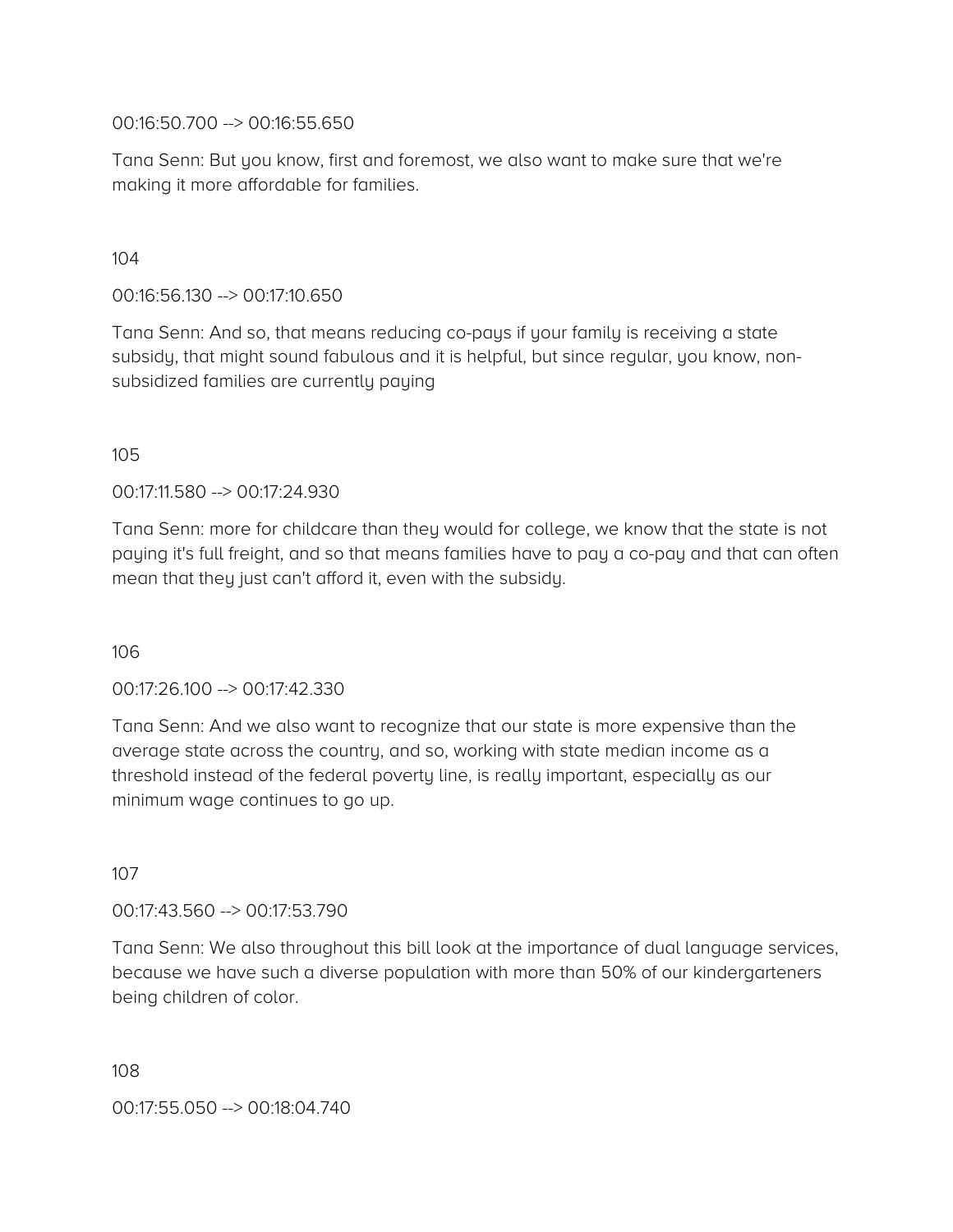00:16:50.700 --> 00:16:55.650

Tana Senn: But you know, first and foremost, we also want to make sure that we're making it more affordable for families.

### 104

00:16:56.130 --> 00:17:10.650

Tana Senn: And so, that means reducing co-pays if your family is receiving a state subsidy, that might sound fabulous and it is helpful, but since regular, you know, nonsubsidized families are currently paying

#### 105

00:17:11.580 --> 00:17:24.930

Tana Senn: more for childcare than they would for college, we know that the state is not paying it's full freight, and so that means families have to pay a co-pay and that can often mean that they just can't afford it, even with the subsidy.

#### 106

00:17:26.100 --> 00:17:42.330

Tana Senn: And we also want to recognize that our state is more expensive than the average state across the country, and so, working with state median income as a threshold instead of the federal poverty line, is really important, especially as our minimum wage continues to go up.

# 107

00:17:43.560 --> 00:17:53.790

Tana Senn: We also throughout this bill look at the importance of dual language services, because we have such a diverse population with more than 50% of our kindergarteners being children of color.

108

00:17:55.050 --> 00:18:04.740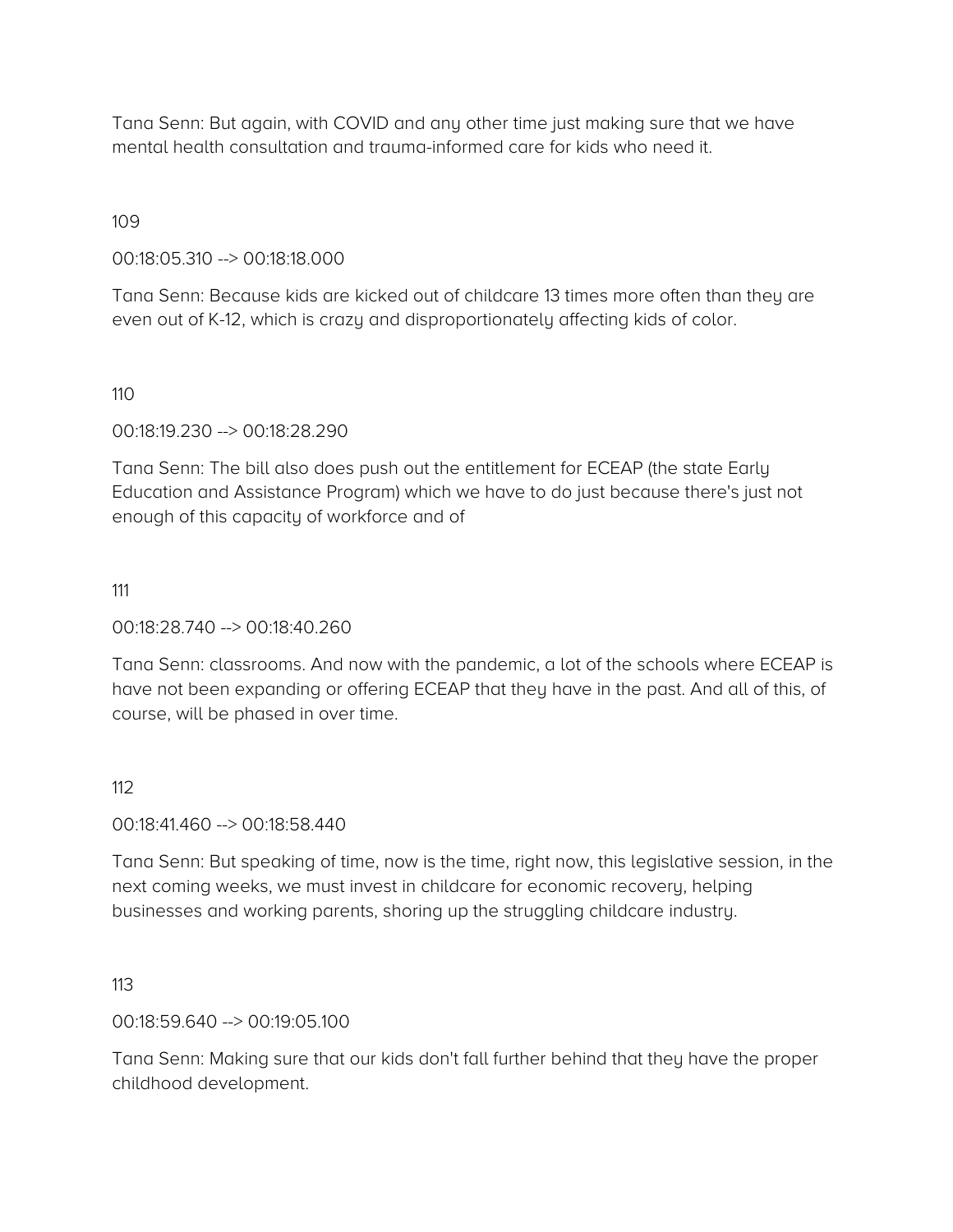Tana Senn: But again, with COVID and any other time just making sure that we have mental health consultation and trauma-informed care for kids who need it.

109

00:18:05.310 --> 00:18:18.000

Tana Senn: Because kids are kicked out of childcare 13 times more often than they are even out of K-12, which is crazy and disproportionately affecting kids of color.

110

00:18:19.230 --> 00:18:28.290

Tana Senn: The bill also does push out the entitlement for ECEAP (the state Early Education and Assistance Program) which we have to do just because there's just not enough of this capacity of workforce and of

111

00:18:28.740 --> 00:18:40.260

Tana Senn: classrooms. And now with the pandemic, a lot of the schools where ECEAP is have not been expanding or offering ECEAP that they have in the past. And all of this, of course, will be phased in over time.

112

00:18:41.460 --> 00:18:58.440

Tana Senn: But speaking of time, now is the time, right now, this legislative session, in the next coming weeks, we must invest in childcare for economic recovery, helping businesses and working parents, shoring up the struggling childcare industry.

113

00:18:59.640 --> 00:19:05.100

Tana Senn: Making sure that our kids don't fall further behind that they have the proper childhood development.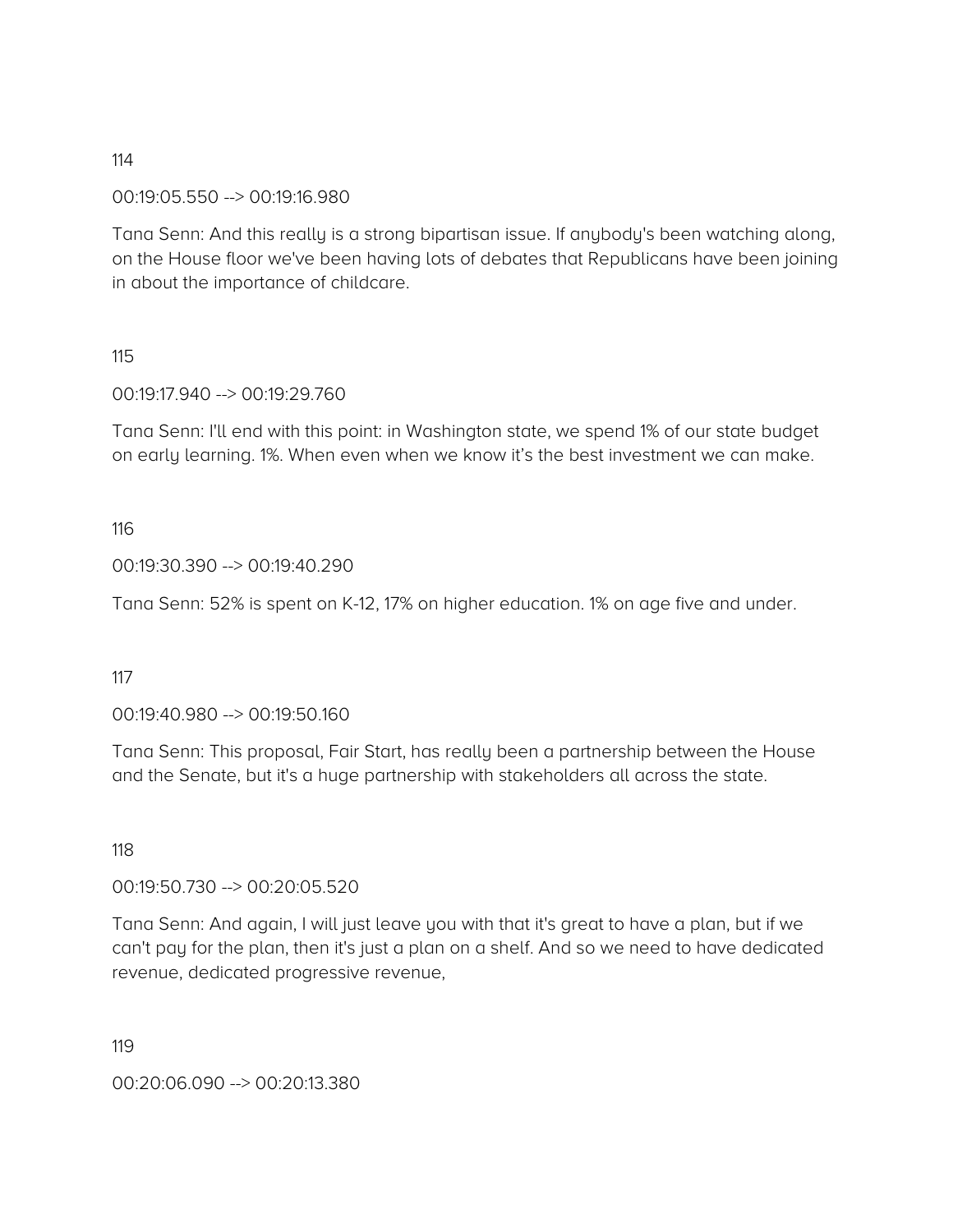00:19:05.550 --> 00:19:16.980

Tana Senn: And this really is a strong bipartisan issue. If anybody's been watching along, on the House floor we've been having lots of debates that Republicans have been joining in about the importance of childcare.

#### 115

00:19:17.940 --> 00:19:29.760

Tana Senn: I'll end with this point: in Washington state, we spend 1% of our state budget on early learning. 1%. When even when we know it's the best investment we can make.

#### 116

00:19:30.390 --> 00:19:40.290

Tana Senn: 52% is spent on K-12, 17% on higher education. 1% on age five and under.

117

00:19:40.980 --> 00:19:50.160

Tana Senn: This proposal, Fair Start, has really been a partnership between the House and the Senate, but it's a huge partnership with stakeholders all across the state.

#### 118

00:19:50.730 --> 00:20:05.520

Tana Senn: And again, I will just leave you with that it's great to have a plan, but if we can't pay for the plan, then it's just a plan on a shelf. And so we need to have dedicated revenue, dedicated progressive revenue,

119

00:20:06.090 --> 00:20:13.380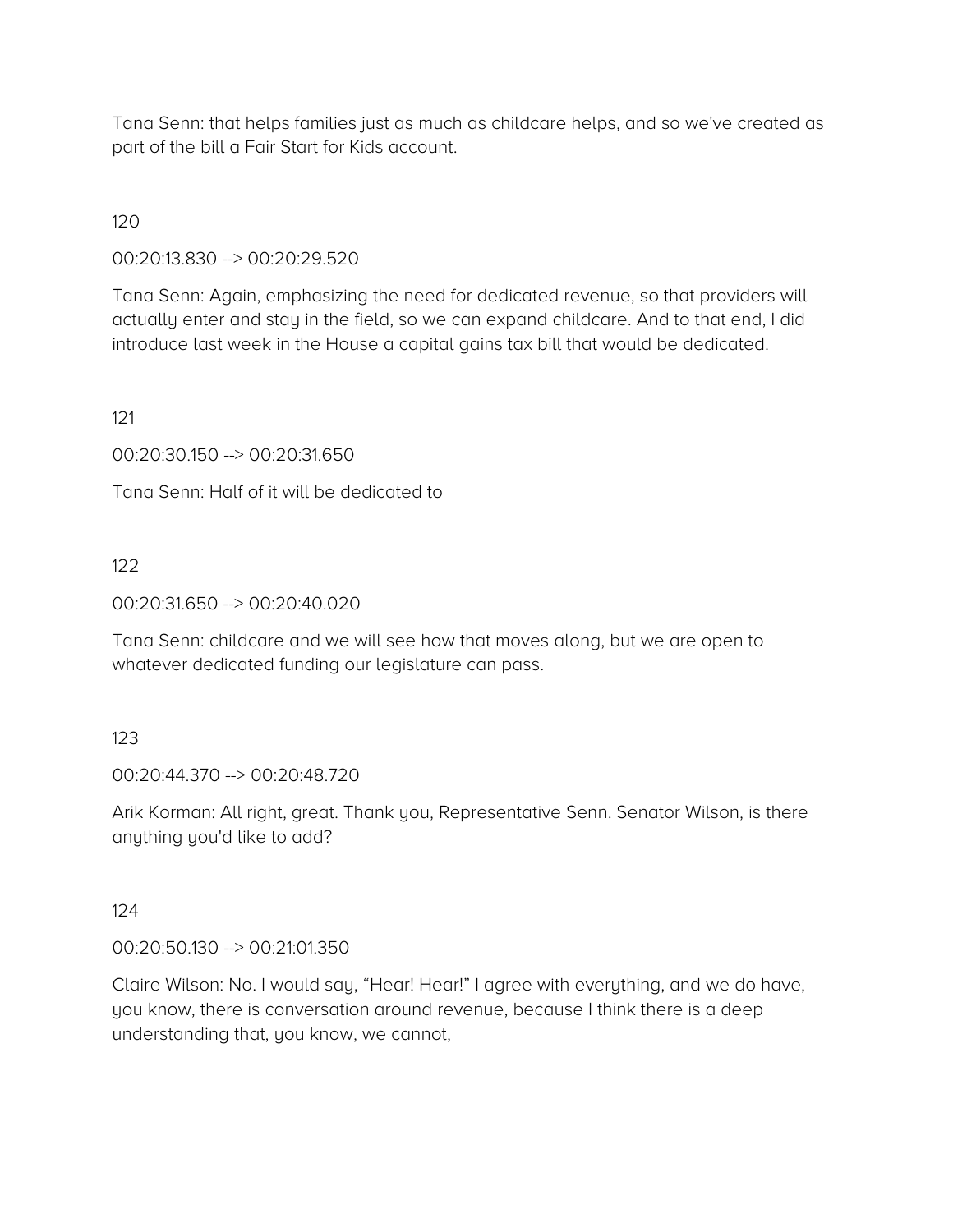Tana Senn: that helps families just as much as childcare helps, and so we've created as part of the bill a Fair Start for Kids account.

120

00:20:13.830 --> 00:20:29.520

Tana Senn: Again, emphasizing the need for dedicated revenue, so that providers will actually enter and stay in the field, so we can expand childcare. And to that end, I did introduce last week in the House a capital gains tax bill that would be dedicated.

121

00:20:30.150 --> 00:20:31.650

Tana Senn: Half of it will be dedicated to

122

00:20:31.650 --> 00:20:40.020

Tana Senn: childcare and we will see how that moves along, but we are open to whatever dedicated funding our legislature can pass.

123

00:20:44.370 --> 00:20:48.720

Arik Korman: All right, great. Thank you, Representative Senn. Senator Wilson, is there anything you'd like to add?

124

00:20:50.130 --> 00:21:01.350

Claire Wilson: No. I would say, "Hear! Hear!" I agree with everything, and we do have, you know, there is conversation around revenue, because I think there is a deep understanding that, you know, we cannot,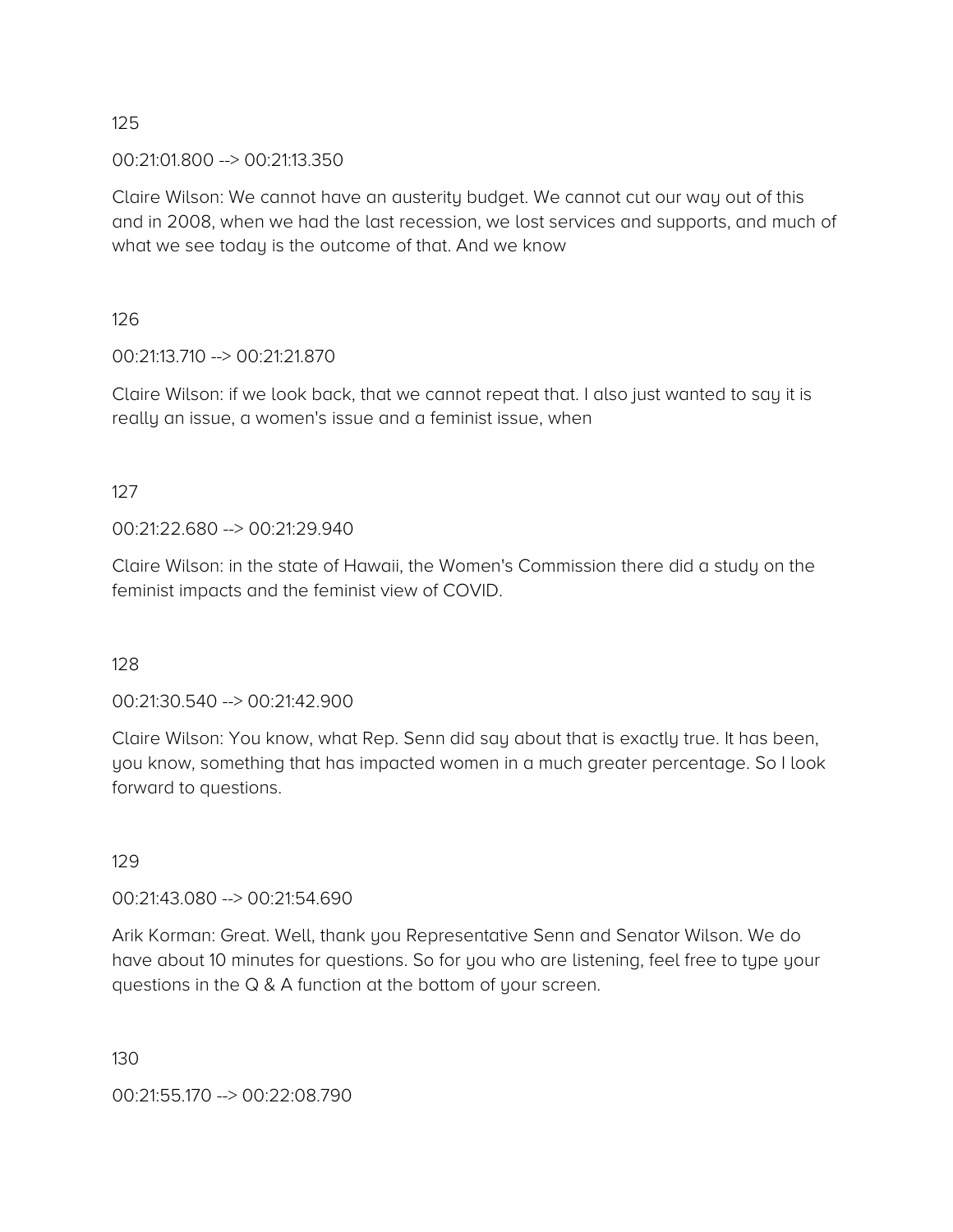00:21:01.800 --> 00:21:13.350

Claire Wilson: We cannot have an austerity budget. We cannot cut our way out of this and in 2008, when we had the last recession, we lost services and supports, and much of what we see today is the outcome of that. And we know

126

00:21:13.710 --> 00:21:21.870

Claire Wilson: if we look back, that we cannot repeat that. I also just wanted to say it is really an issue, a women's issue and a feminist issue, when

127

00:21:22.680 --> 00:21:29.940

Claire Wilson: in the state of Hawaii, the Women's Commission there did a study on the feminist impacts and the feminist view of COVID.

128

00:21:30.540 --> 00:21:42.900

Claire Wilson: You know, what Rep. Senn did say about that is exactly true. It has been, you know, something that has impacted women in a much greater percentage. So I look forward to questions.

129

00:21:43.080 --> 00:21:54.690

Arik Korman: Great. Well, thank you Representative Senn and Senator Wilson. We do have about 10 minutes for questions. So for you who are listening, feel free to type your questions in the Q & A function at the bottom of your screen.

130

00:21:55.170 --> 00:22:08.790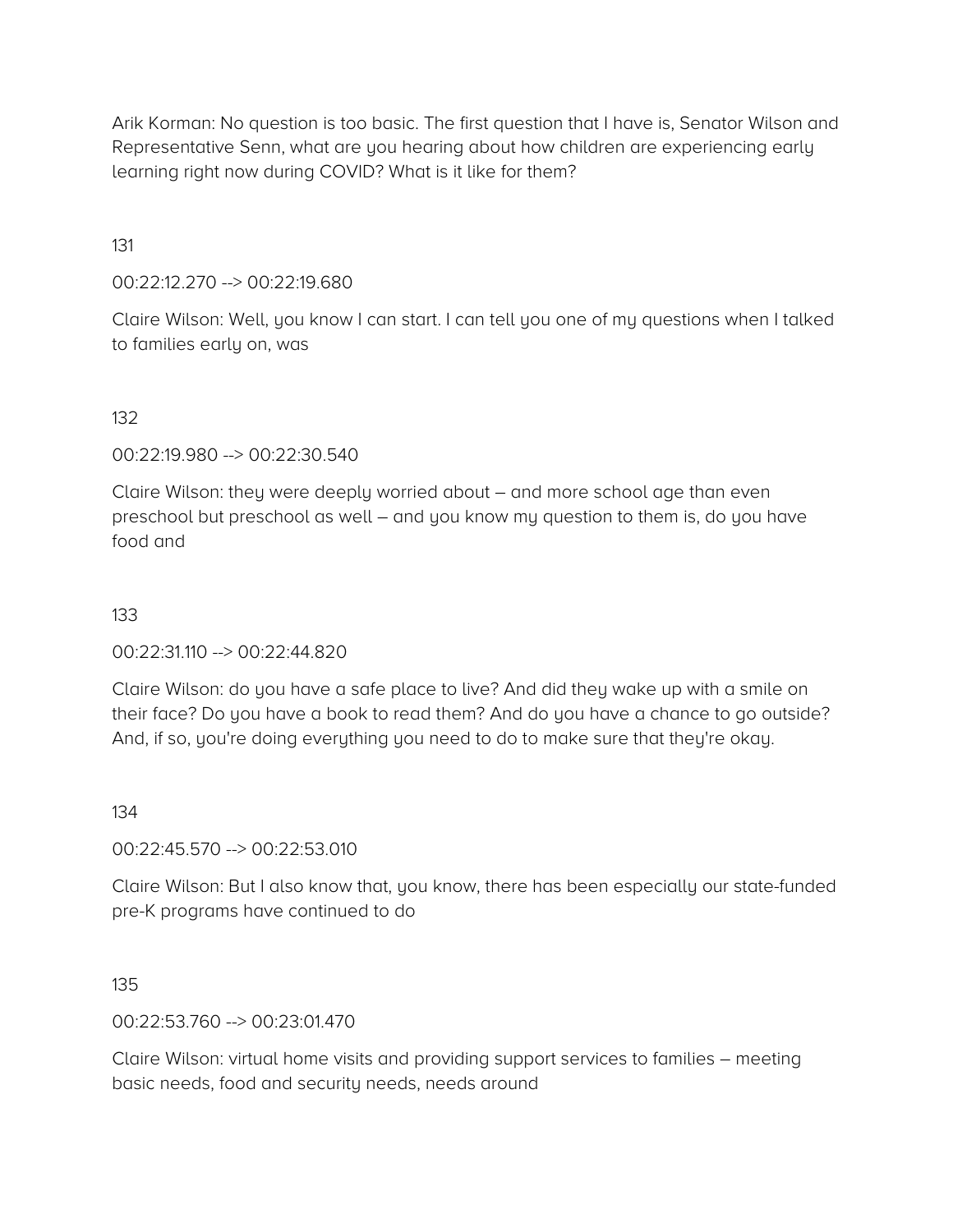Arik Korman: No question is too basic. The first question that I have is, Senator Wilson and Representative Senn, what are you hearing about how children are experiencing early learning right now during COVID? What is it like for them?

131

00:22:12.270 --> 00:22:19.680

Claire Wilson: Well, you know I can start. I can tell you one of my questions when I talked to families early on, was

132

00:22:19.980 --> 00:22:30.540

Claire Wilson: they were deeply worried about – and more school age than even preschool but preschool as well – and you know my question to them is, do you have food and

133

00:22:31.110 --> 00:22:44.820

Claire Wilson: do you have a safe place to live? And did they wake up with a smile on their face? Do you have a book to read them? And do you have a chance to go outside? And, if so, you're doing everything you need to do to make sure that they're okay.

134

00:22:45.570 --> 00:22:53.010

Claire Wilson: But I also know that, you know, there has been especially our state-funded pre-K programs have continued to do

135

00:22:53.760 --> 00:23:01.470

Claire Wilson: virtual home visits and providing support services to families – meeting basic needs, food and security needs, needs around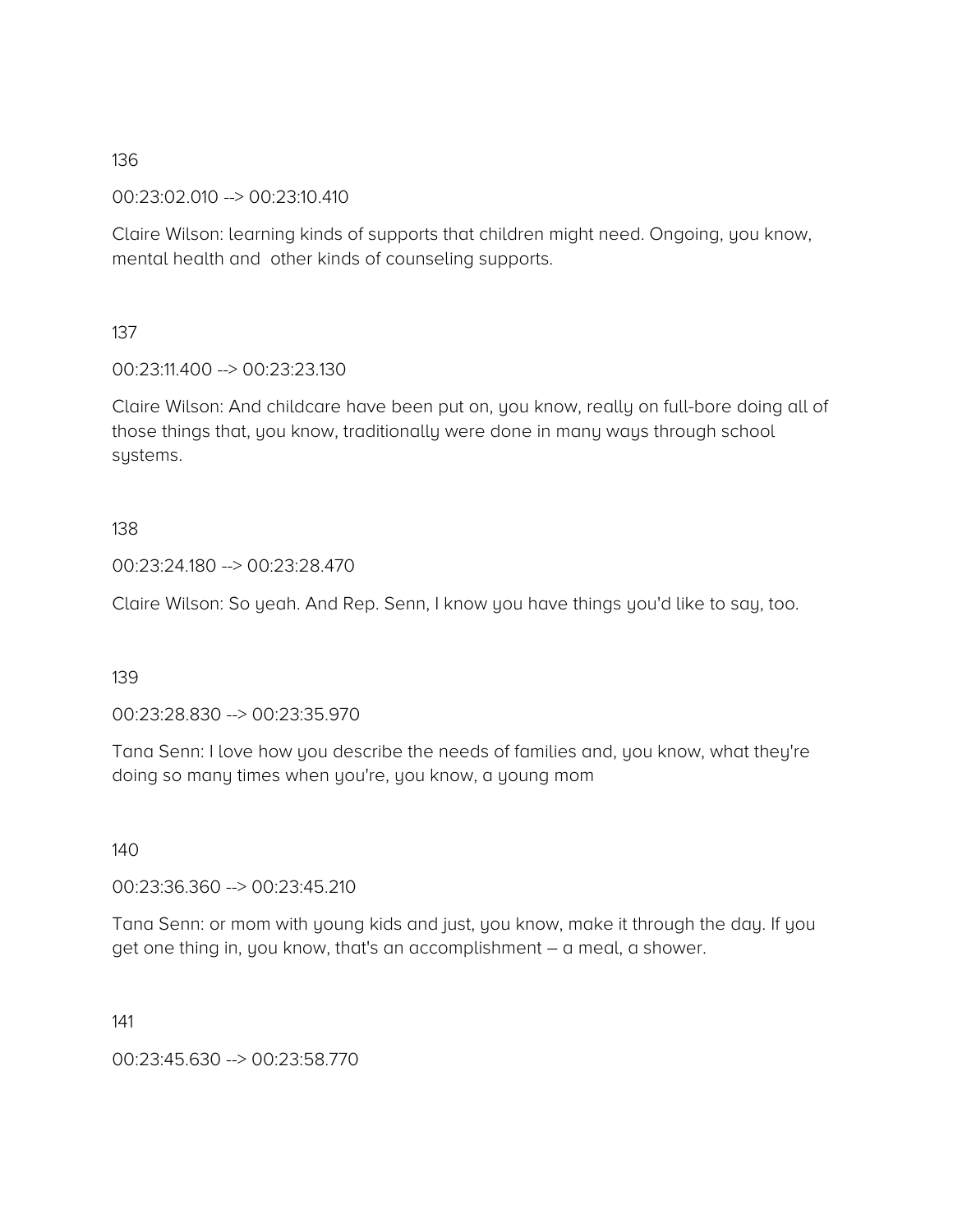00:23:02.010 --> 00:23:10.410

Claire Wilson: learning kinds of supports that children might need. Ongoing, you know, mental health and other kinds of counseling supports.

137

00:23:11.400 --> 00:23:23.130

Claire Wilson: And childcare have been put on, you know, really on full-bore doing all of those things that, you know, traditionally were done in many ways through school systems.

#### 138

00:23:24.180 --> 00:23:28.470

Claire Wilson: So yeah. And Rep. Senn, I know you have things you'd like to say, too.

139

00:23:28.830 --> 00:23:35.970

Tana Senn: I love how you describe the needs of families and, you know, what they're doing so many times when you're, you know, a young mom

140

00:23:36.360 --> 00:23:45.210

Tana Senn: or mom with young kids and just, you know, make it through the day. If you get one thing in, you know, that's an accomplishment – a meal, a shower.

141

00:23:45.630 --> 00:23:58.770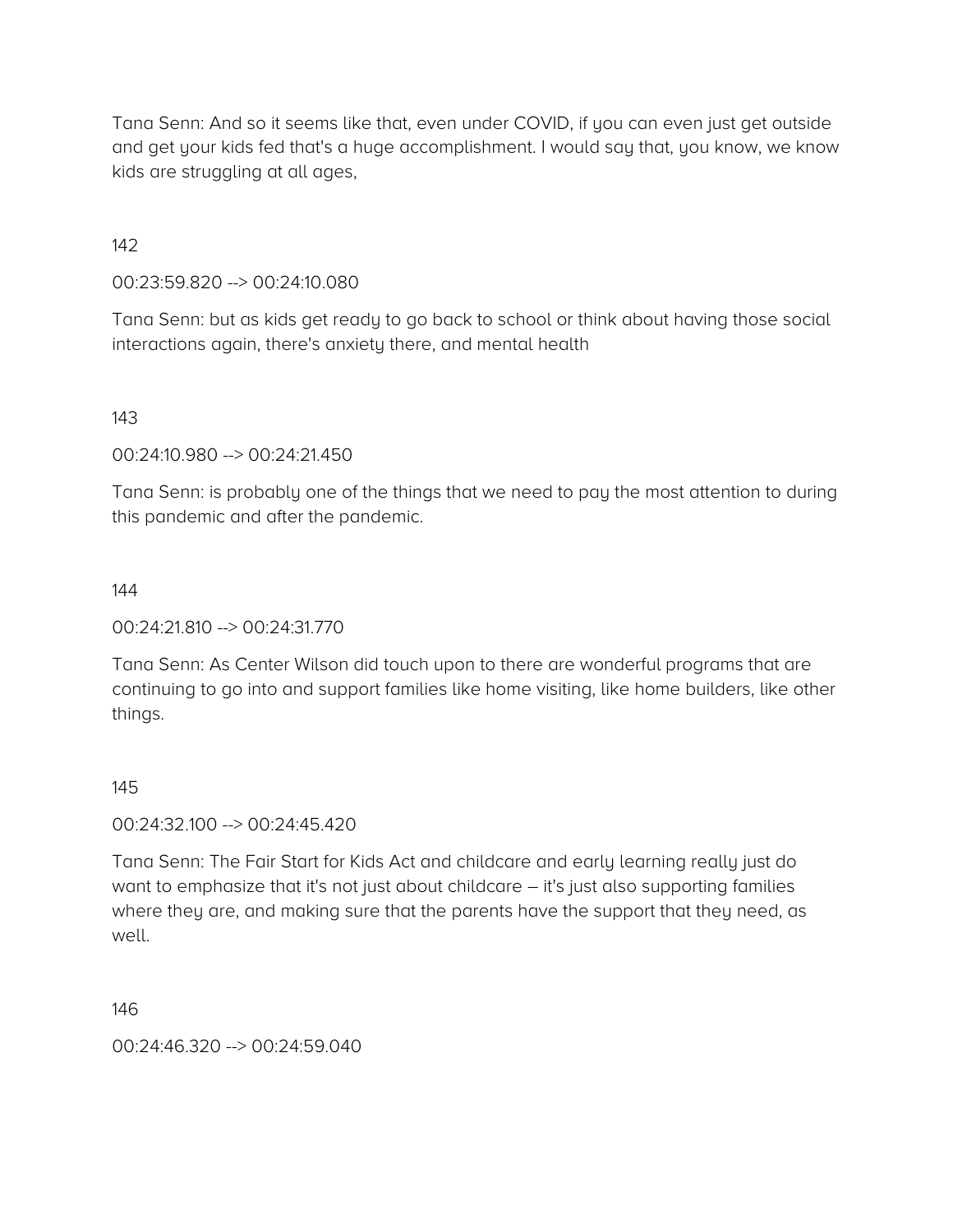Tana Senn: And so it seems like that, even under COVID, if you can even just get outside and get your kids fed that's a huge accomplishment. I would say that, you know, we know kids are struggling at all ages,

142

00:23:59.820 --> 00:24:10.080

Tana Senn: but as kids get ready to go back to school or think about having those social interactions again, there's anxiety there, and mental health

143

00:24:10.980 --> 00:24:21.450

Tana Senn: is probably one of the things that we need to pay the most attention to during this pandemic and after the pandemic.

144

 $00:24:21.810 \rightarrow 00:24:31.770$ 

Tana Senn: As Center Wilson did touch upon to there are wonderful programs that are continuing to go into and support families like home visiting, like home builders, like other things.

145

00:24:32.100 --> 00:24:45.420

Tana Senn: The Fair Start for Kids Act and childcare and early learning really just do want to emphasize that it's not just about childcare – it's just also supporting families where they are, and making sure that the parents have the support that they need, as well.

146

00:24:46.320 --> 00:24:59.040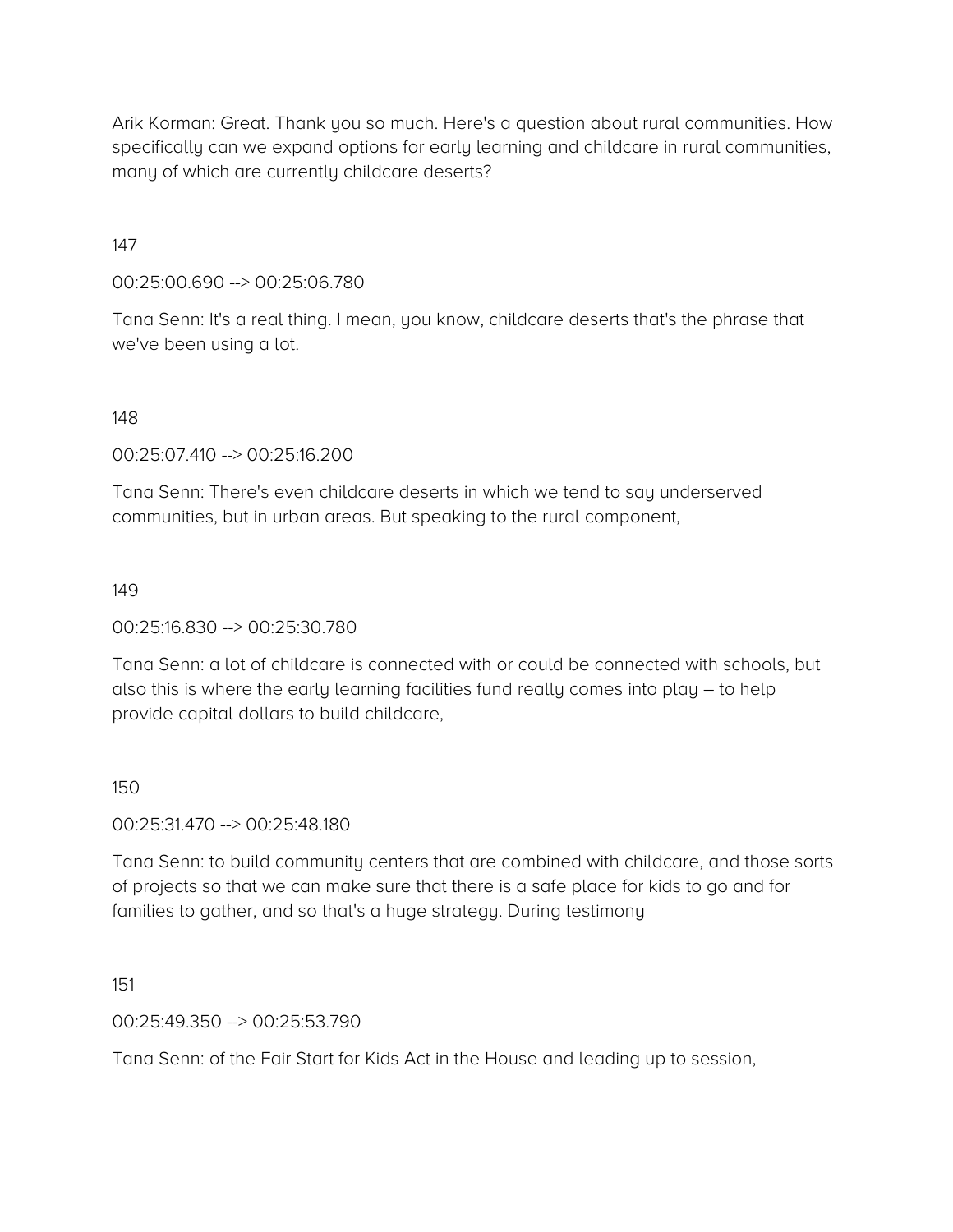Arik Korman: Great. Thank you so much. Here's a question about rural communities. How specifically can we expand options for early learning and childcare in rural communities, many of which are currently childcare deserts?

#### 147

00:25:00.690 --> 00:25:06.780

Tana Senn: It's a real thing. I mean, you know, childcare deserts that's the phrase that we've been using a lot.

### 148

00:25:07.410 --> 00:25:16.200

Tana Senn: There's even childcare deserts in which we tend to say underserved communities, but in urban areas. But speaking to the rural component,

#### 149

00:25:16.830 --> 00:25:30.780

Tana Senn: a lot of childcare is connected with or could be connected with schools, but also this is where the early learning facilities fund really comes into play – to help provide capital dollars to build childcare,

#### 150

00:25:31.470 --> 00:25:48.180

Tana Senn: to build community centers that are combined with childcare, and those sorts of projects so that we can make sure that there is a safe place for kids to go and for families to gather, and so that's a huge strategy. During testimony

151

00:25:49.350 --> 00:25:53.790

Tana Senn: of the Fair Start for Kids Act in the House and leading up to session,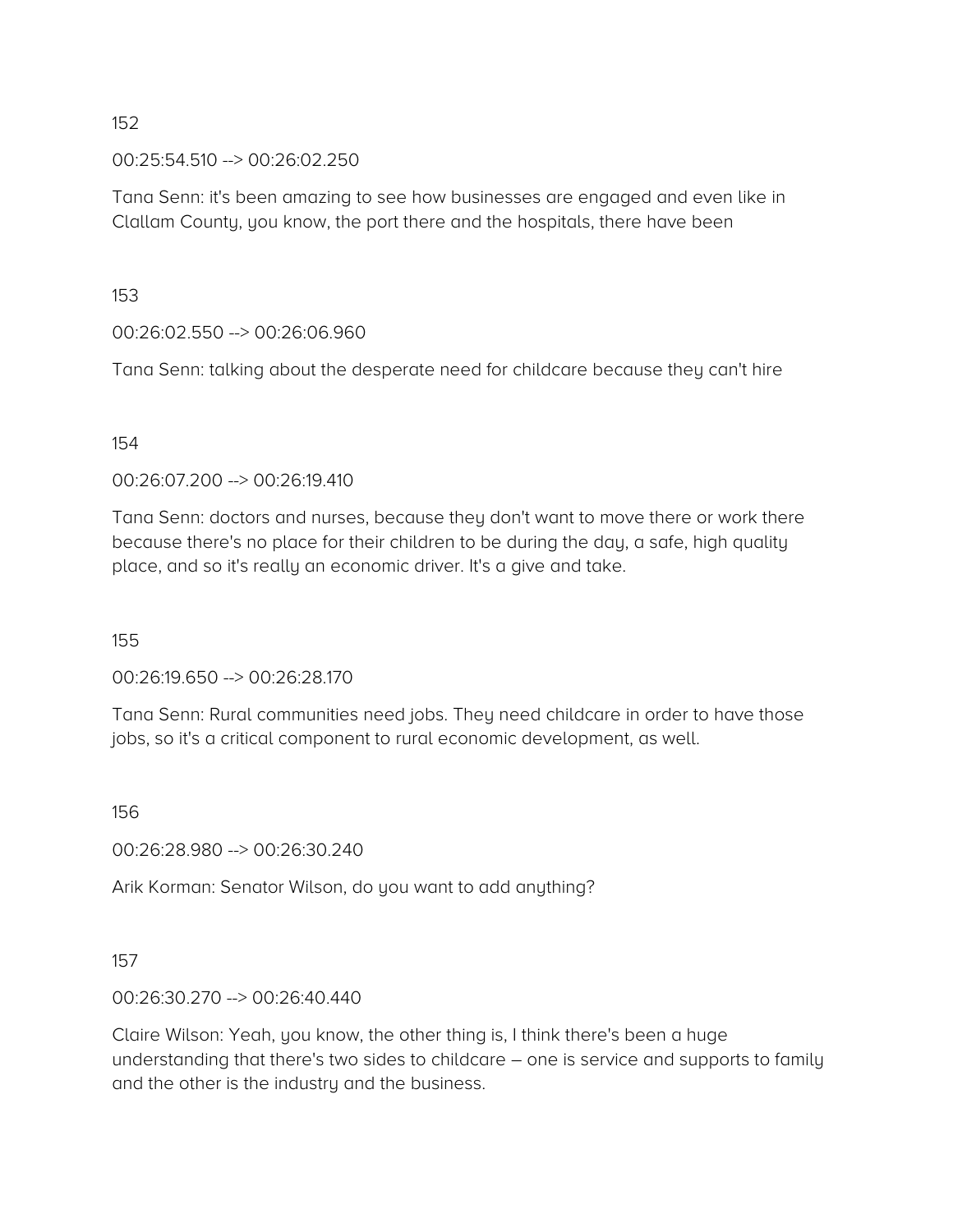00:25:54.510 --> 00:26:02.250

Tana Senn: it's been amazing to see how businesses are engaged and even like in Clallam County, you know, the port there and the hospitals, there have been

153

00:26:02.550 --> 00:26:06.960

Tana Senn: talking about the desperate need for childcare because they can't hire

#### 154

00:26:07.200 --> 00:26:19.410

Tana Senn: doctors and nurses, because they don't want to move there or work there because there's no place for their children to be during the day, a safe, high quality place, and so it's really an economic driver. It's a give and take.

155

00:26:19.650 --> 00:26:28.170

Tana Senn: Rural communities need jobs. They need childcare in order to have those jobs, so it's a critical component to rural economic development, as well.

156

00:26:28.980 --> 00:26:30.240

Arik Korman: Senator Wilson, do you want to add anything?

#### 157

00:26:30.270 --> 00:26:40.440

Claire Wilson: Yeah, you know, the other thing is, I think there's been a huge understanding that there's two sides to childcare – one is service and supports to family and the other is the industry and the business.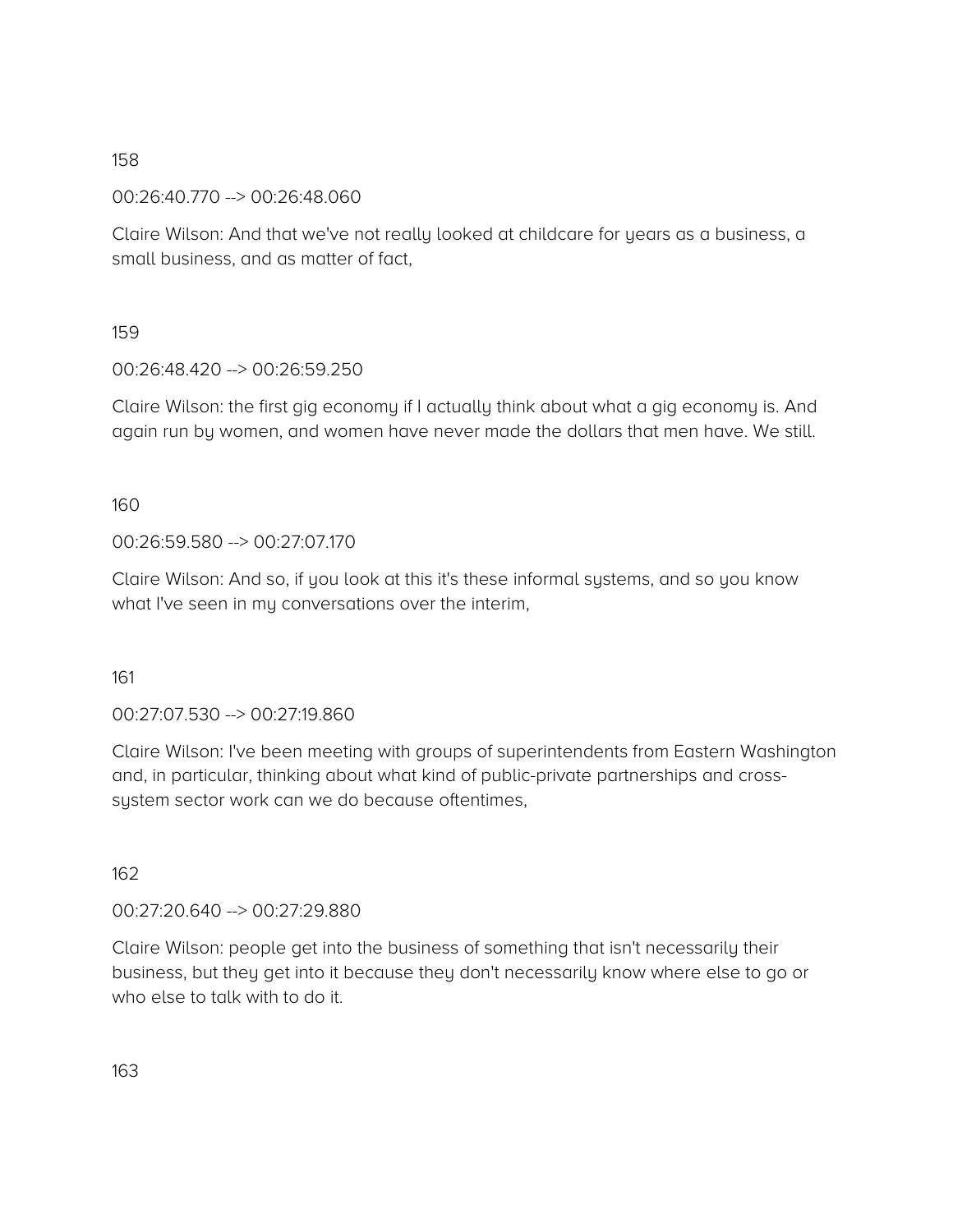00:26:40.770 --> 00:26:48.060

Claire Wilson: And that we've not really looked at childcare for years as a business, a small business, and as matter of fact,

159

00:26:48.420 --> 00:26:59.250

Claire Wilson: the first gig economy if I actually think about what a gig economy is. And again run by women, and women have never made the dollars that men have. We still.

160

00:26:59.580 --> 00:27:07.170

Claire Wilson: And so, if you look at this it's these informal systems, and so you know what I've seen in my conversations over the interim,

161

00:27:07.530 --> 00:27:19.860

Claire Wilson: I've been meeting with groups of superintendents from Eastern Washington and, in particular, thinking about what kind of public-private partnerships and crosssystem sector work can we do because oftentimes,

162

00:27:20.640 --> 00:27:29.880

Claire Wilson: people get into the business of something that isn't necessarily their business, but they get into it because they don't necessarily know where else to go or who else to talk with to do it.

163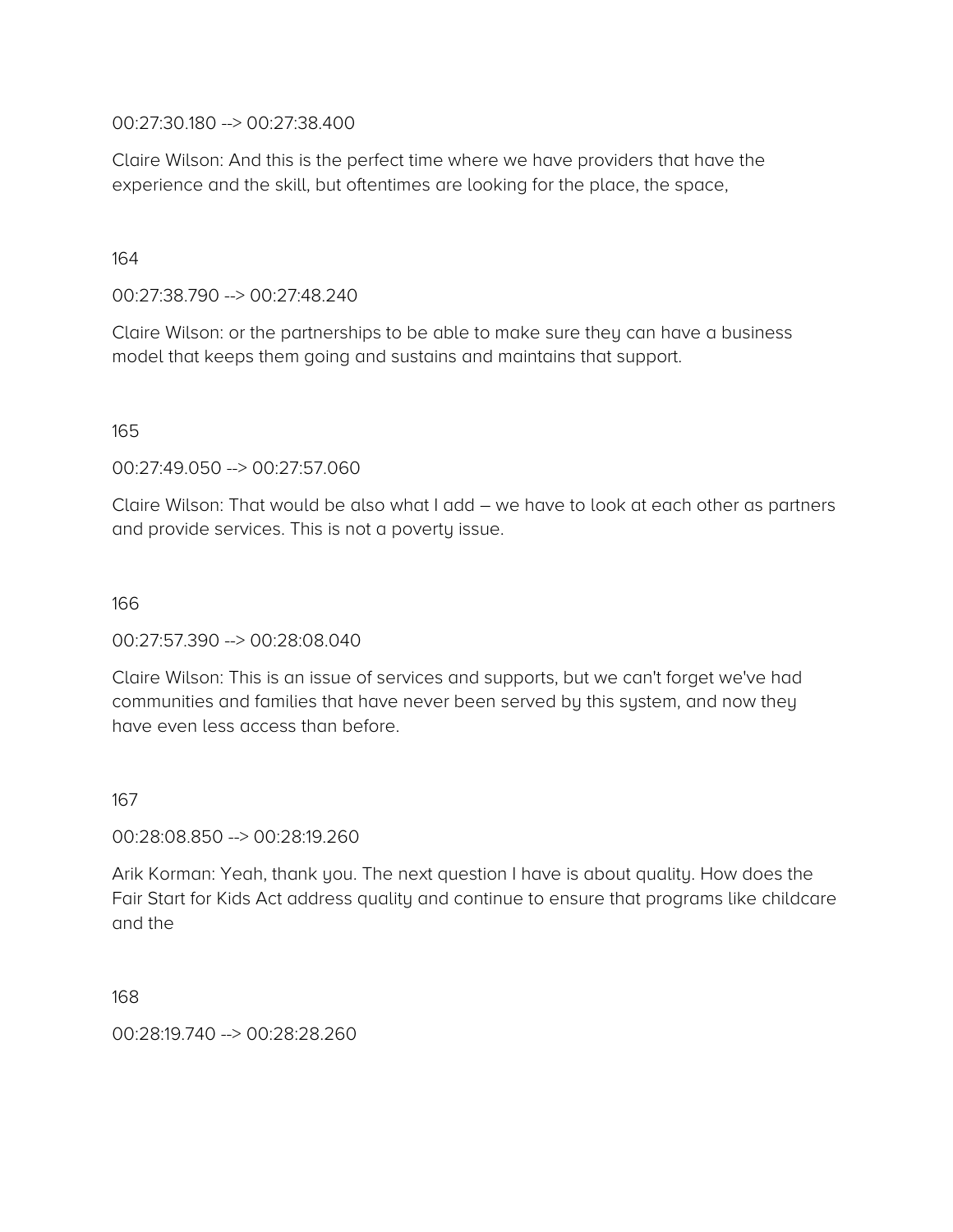00:27:30.180 --> 00:27:38.400

Claire Wilson: And this is the perfect time where we have providers that have the experience and the skill, but oftentimes are looking for the place, the space,

164

00:27:38.790 --> 00:27:48.240

Claire Wilson: or the partnerships to be able to make sure they can have a business model that keeps them going and sustains and maintains that support.

165

00:27:49.050 --> 00:27:57.060

Claire Wilson: That would be also what I add – we have to look at each other as partners and provide services. This is not a poverty issue.

166

00:27:57.390 --> 00:28:08.040

Claire Wilson: This is an issue of services and supports, but we can't forget we've had communities and families that have never been served by this system, and now they have even less access than before.

167

00:28:08.850 --> 00:28:19.260

Arik Korman: Yeah, thank you. The next question I have is about quality. How does the Fair Start for Kids Act address quality and continue to ensure that programs like childcare and the

168

00:28:19.740 --> 00:28:28.260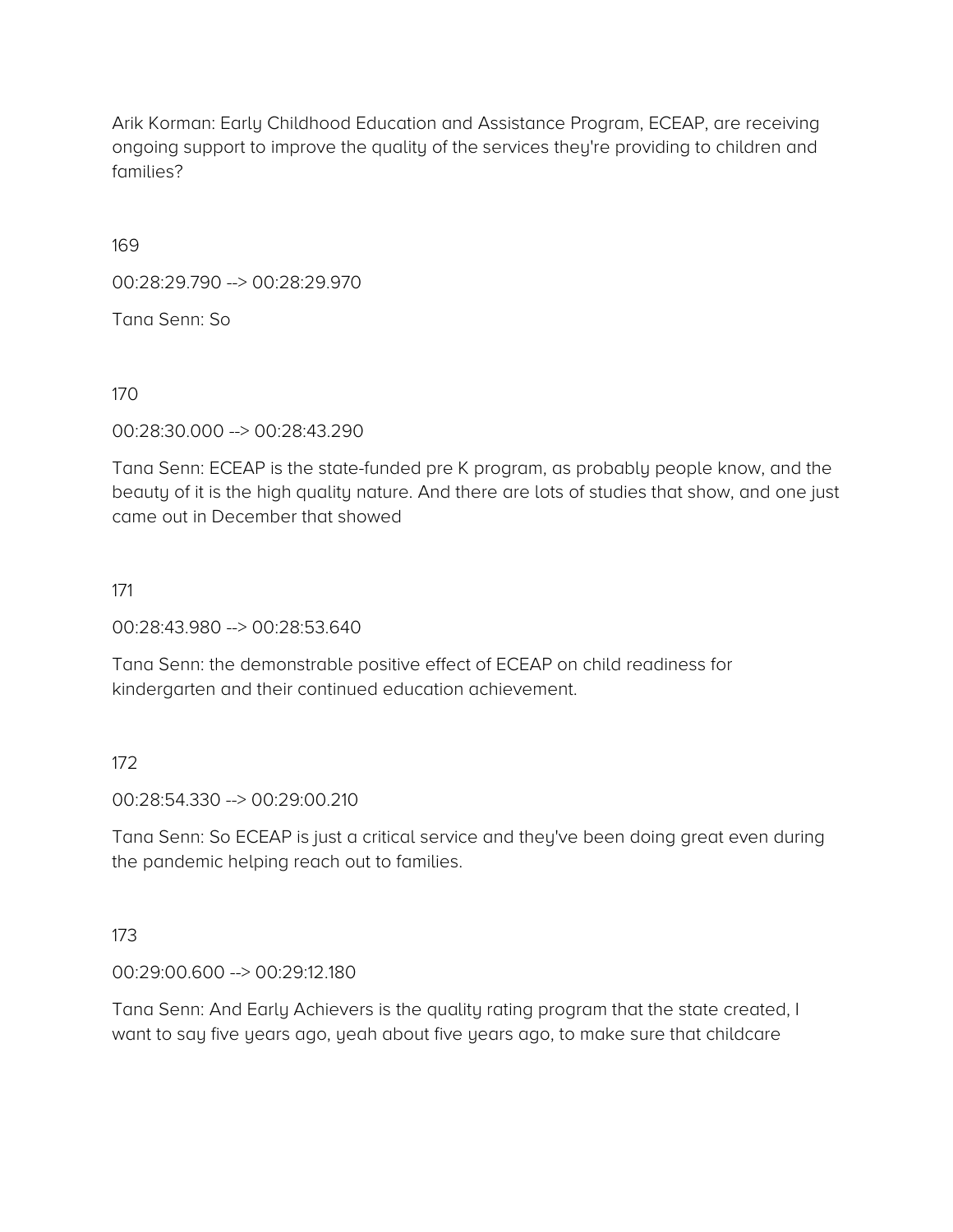Arik Korman: Early Childhood Education and Assistance Program, ECEAP, are receiving ongoing support to improve the quality of the services they're providing to children and families?

169

00:28:29.790 --> 00:28:29.970

Tana Senn: So

170

00:28:30.000 --> 00:28:43.290

Tana Senn: ECEAP is the state-funded pre K program, as probably people know, and the beauty of it is the high quality nature. And there are lots of studies that show, and one just came out in December that showed

### 171

00:28:43.980 --> 00:28:53.640

Tana Senn: the demonstrable positive effect of ECEAP on child readiness for kindergarten and their continued education achievement.

### 172

00:28:54.330 --> 00:29:00.210

Tana Senn: So ECEAP is just a critical service and they've been doing great even during the pandemic helping reach out to families.

#### 173

00:29:00.600 --> 00:29:12.180

Tana Senn: And Early Achievers is the quality rating program that the state created, I want to say five years ago, yeah about five years ago, to make sure that childcare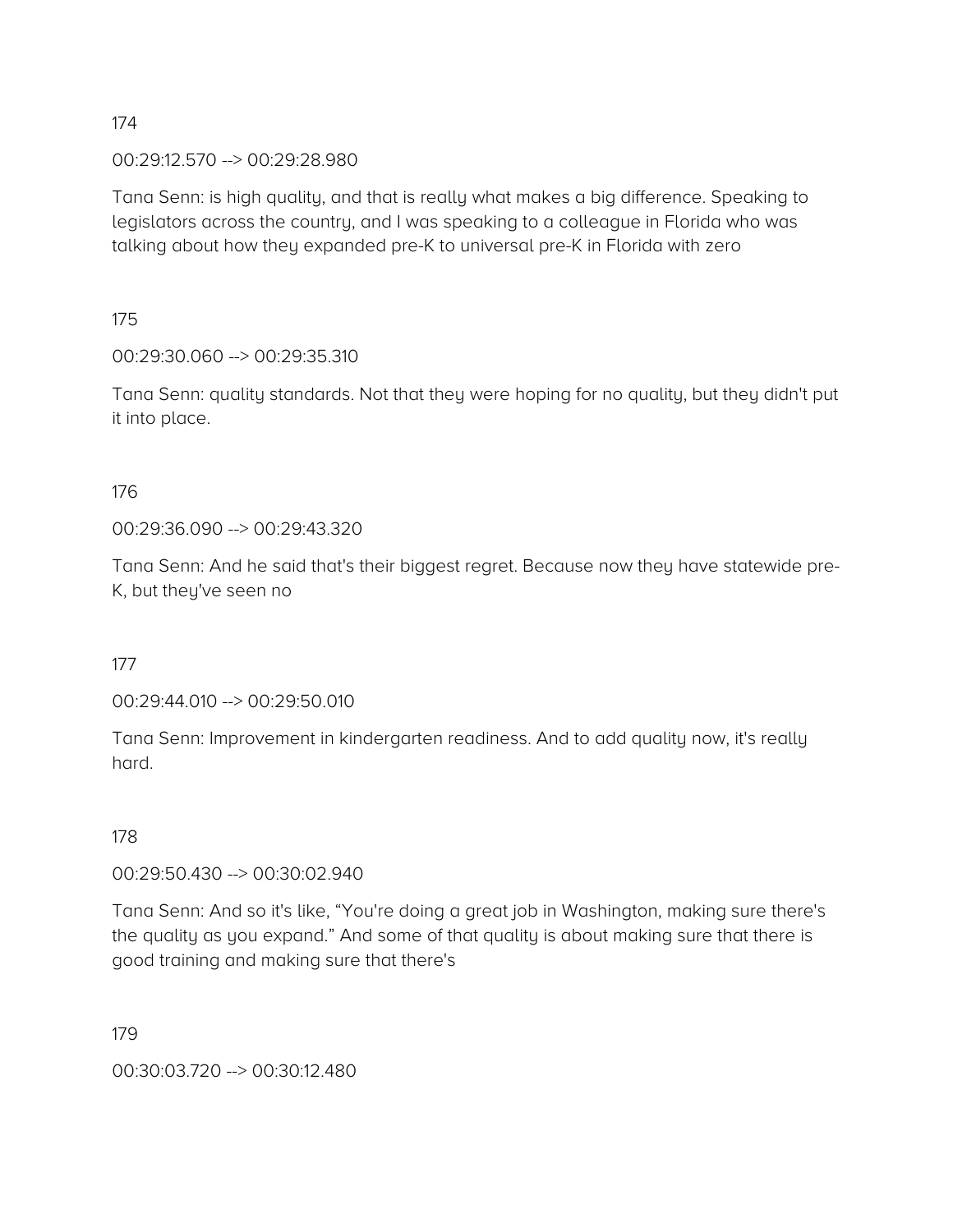00:29:12.570 --> 00:29:28.980

Tana Senn: is high quality, and that is really what makes a big difference. Speaking to legislators across the country, and I was speaking to a colleague in Florida who was talking about how they expanded pre-K to universal pre-K in Florida with zero

175

00:29:30.060 --> 00:29:35.310

Tana Senn: quality standards. Not that they were hoping for no quality, but they didn't put it into place.

176

00:29:36.090 --> 00:29:43.320

Tana Senn: And he said that's their biggest regret. Because now they have statewide pre-K, but they've seen no

177

00:29:44.010 --> 00:29:50.010

Tana Senn: Improvement in kindergarten readiness. And to add quality now, it's really hard.

178

00:29:50.430 --> 00:30:02.940

Tana Senn: And so it's like, "You're doing a great job in Washington, making sure there's the quality as you expand." And some of that quality is about making sure that there is good training and making sure that there's

179

00:30:03.720 --> 00:30:12.480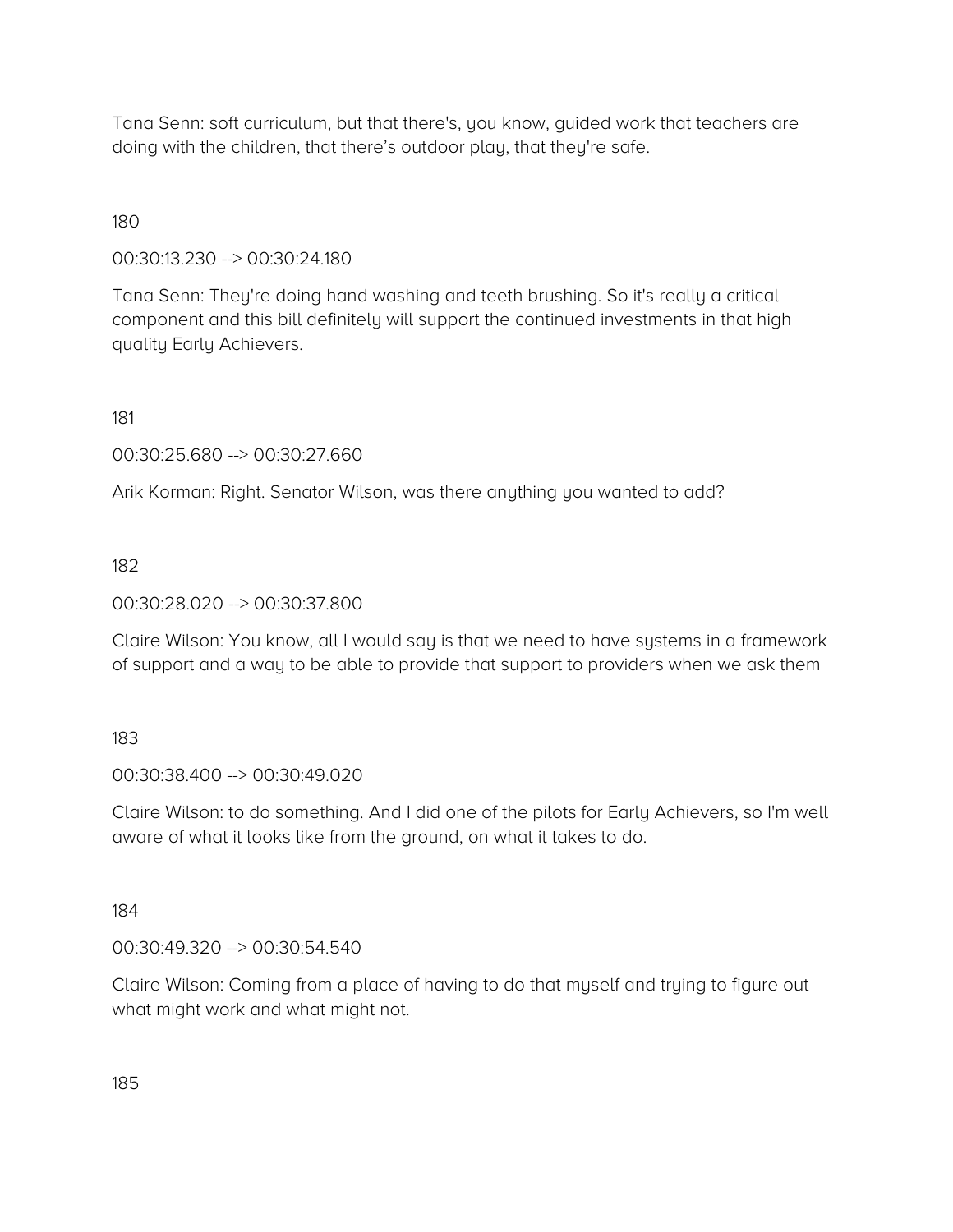Tana Senn: soft curriculum, but that there's, you know, guided work that teachers are doing with the children, that there's outdoor play, that they're safe.

180

00:30:13.230 --> 00:30:24.180

Tana Senn: They're doing hand washing and teeth brushing. So it's really a critical component and this bill definitely will support the continued investments in that high quality Early Achievers.

181

00:30:25.680 --> 00:30:27.660

Arik Korman: Right. Senator Wilson, was there anything you wanted to add?

182

00:30:28.020 --> 00:30:37.800

Claire Wilson: You know, all I would say is that we need to have systems in a framework of support and a way to be able to provide that support to providers when we ask them

183

00:30:38.400 --> 00:30:49.020

Claire Wilson: to do something. And I did one of the pilots for Early Achievers, so I'm well aware of what it looks like from the ground, on what it takes to do.

184

00:30:49.320 --> 00:30:54.540

Claire Wilson: Coming from a place of having to do that myself and trying to figure out what might work and what might not.

185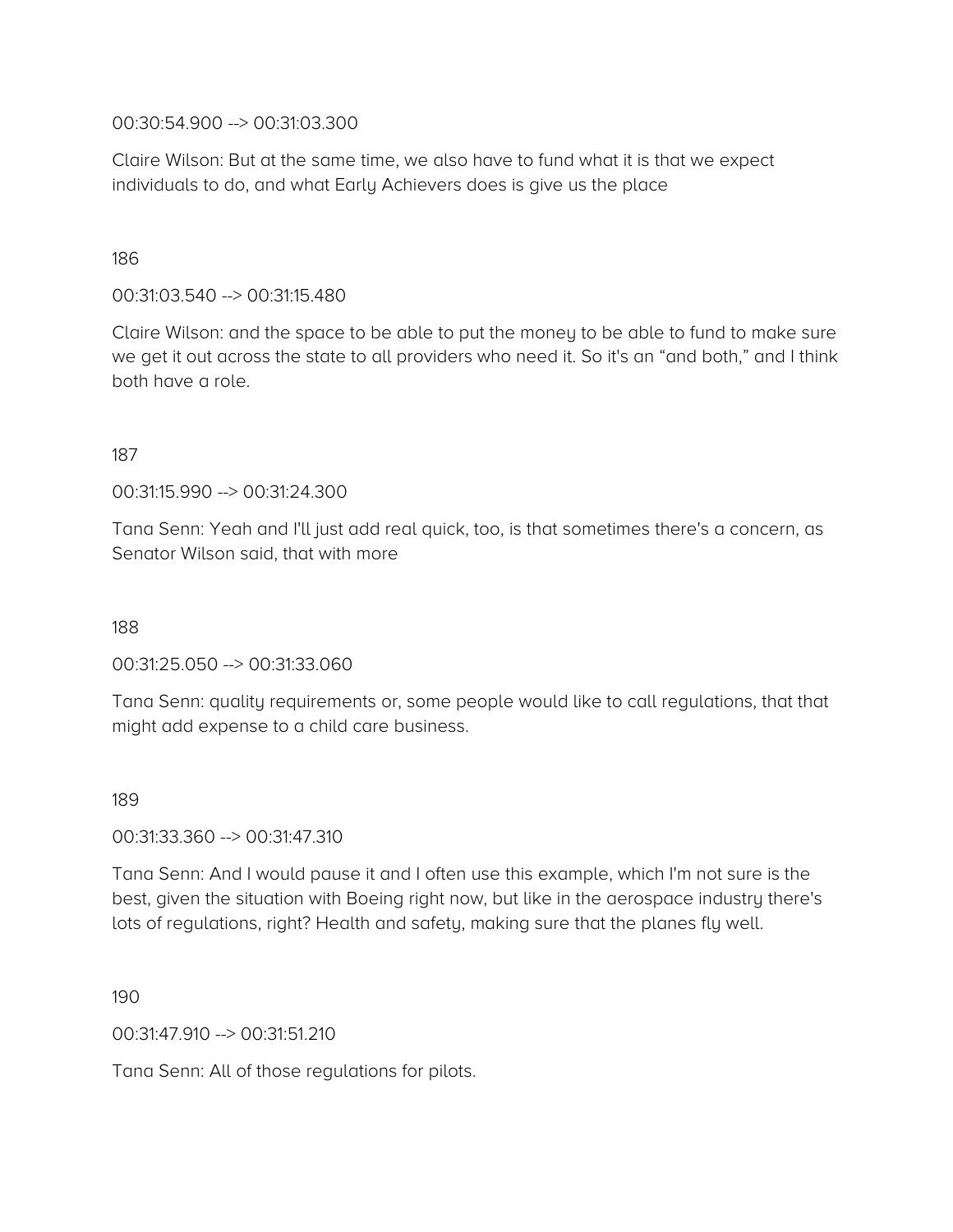00:30:54.900 --> 00:31:03.300

Claire Wilson: But at the same time, we also have to fund what it is that we expect individuals to do, and what Early Achievers does is give us the place

186

00:31:03.540 --> 00:31:15.480

Claire Wilson: and the space to be able to put the money to be able to fund to make sure we get it out across the state to all providers who need it. So it's an "and both," and I think both have a role.

187

00:31:15.990 --> 00:31:24.300

Tana Senn: Yeah and I'll just add real quick, too, is that sometimes there's a concern, as Senator Wilson said, that with more

188

00:31:25.050 --> 00:31:33.060

Tana Senn: quality requirements or, some people would like to call regulations, that that might add expense to a child care business.

189

00:31:33.360 --> 00:31:47.310

Tana Senn: And I would pause it and I often use this example, which I'm not sure is the best, given the situation with Boeing right now, but like in the aerospace industry there's lots of regulations, right? Health and safety, making sure that the planes fly well.

190

00:31:47.910 --> 00:31:51.210

Tana Senn: All of those regulations for pilots.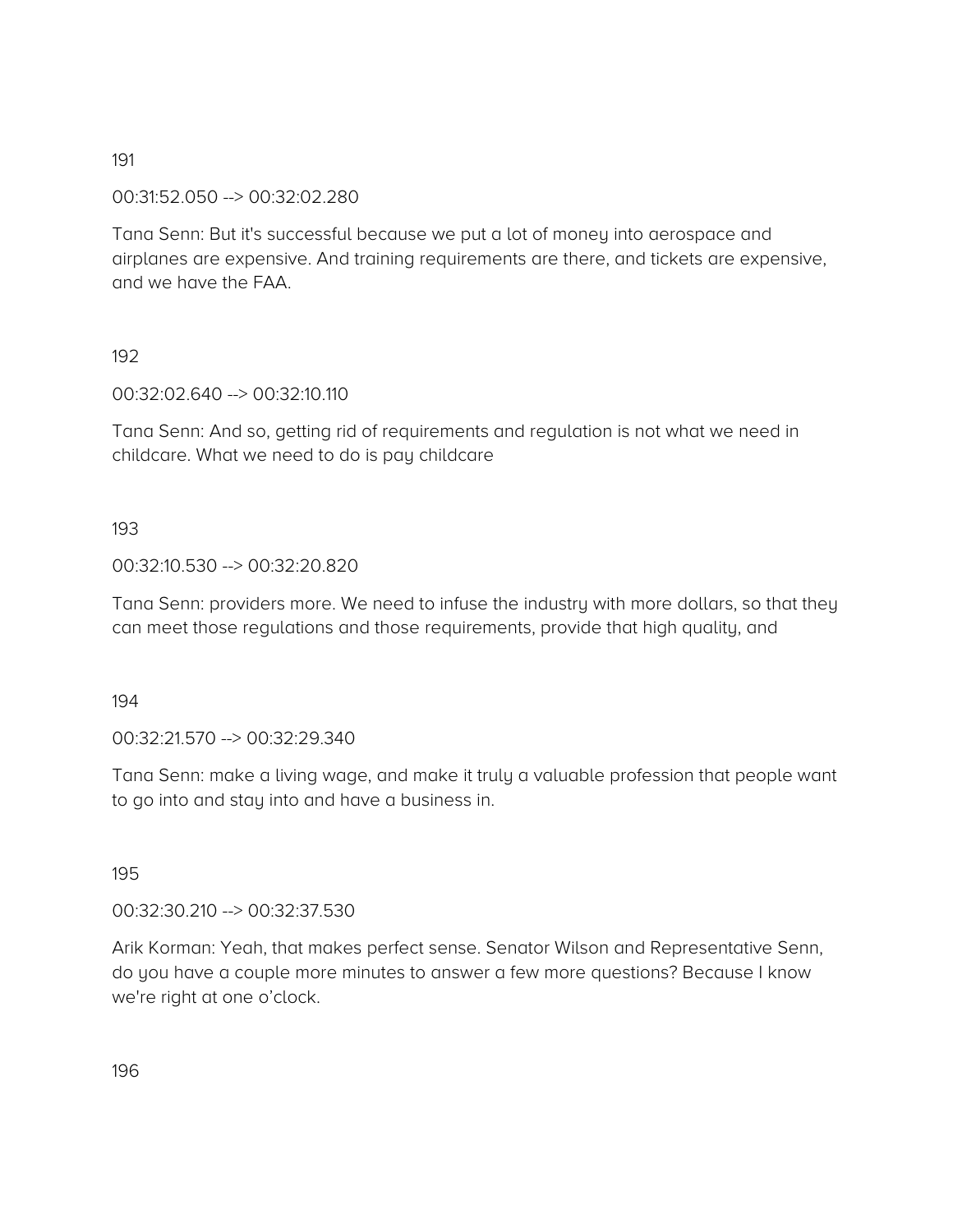00:31:52.050 --> 00:32:02.280

Tana Senn: But it's successful because we put a lot of money into aerospace and airplanes are expensive. And training requirements are there, and tickets are expensive, and we have the FAA.

# 192

00:32:02.640 --> 00:32:10.110

Tana Senn: And so, getting rid of requirements and regulation is not what we need in childcare. What we need to do is pay childcare

### 193

### 00:32:10.530 --> 00:32:20.820

Tana Senn: providers more. We need to infuse the industry with more dollars, so that they can meet those regulations and those requirements, provide that high quality, and

194

00:32:21.570 --> 00:32:29.340

Tana Senn: make a living wage, and make it truly a valuable profession that people want to go into and stay into and have a business in.

### 195

00:32:30.210 --> 00:32:37.530

Arik Korman: Yeah, that makes perfect sense. Senator Wilson and Representative Senn, do you have a couple more minutes to answer a few more questions? Because I know we're right at one o'clock.

196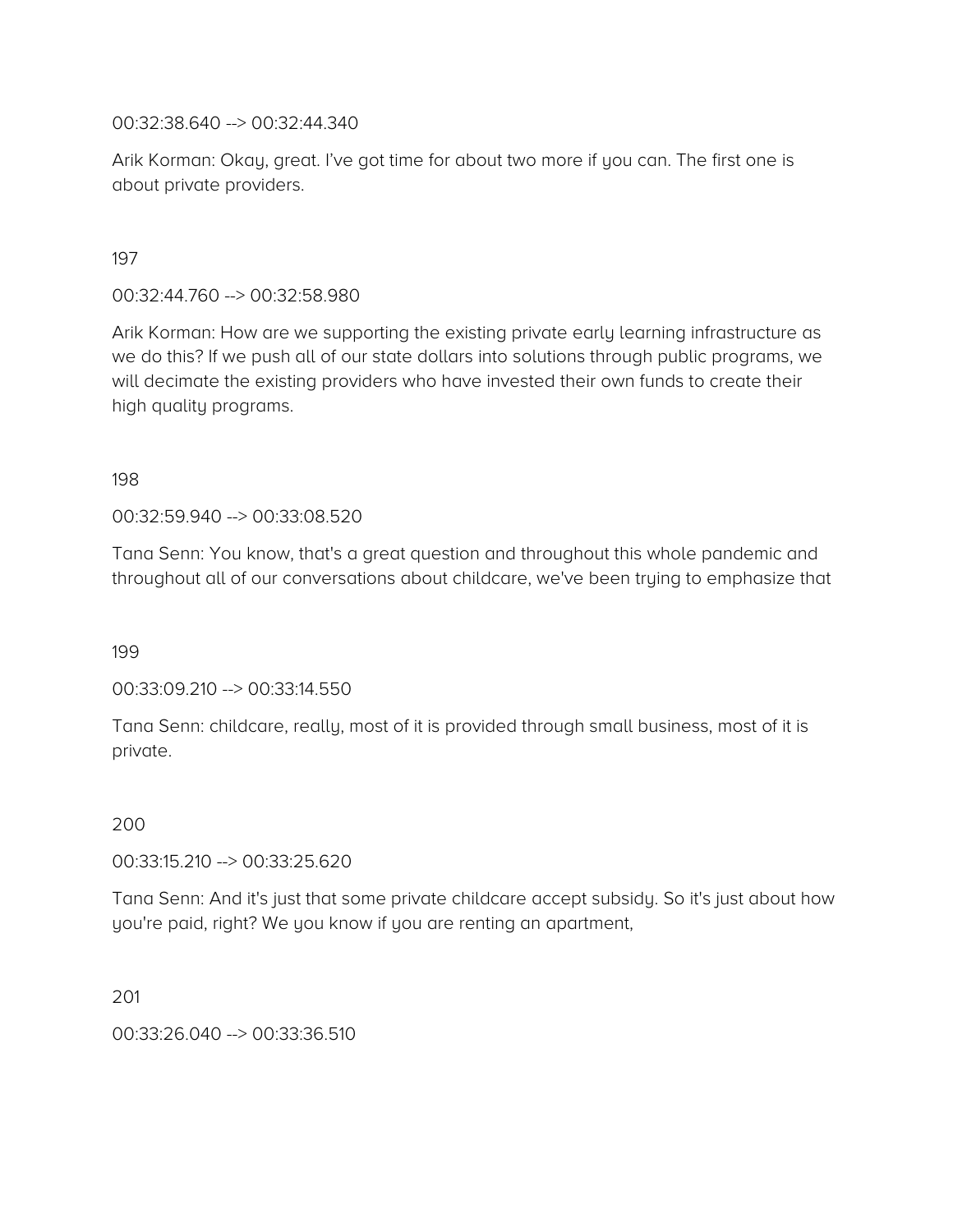00:32:38.640 --> 00:32:44.340

Arik Korman: Okay, great. I've got time for about two more if you can. The first one is about private providers.

197

00:32:44.760 --> 00:32:58.980

Arik Korman: How are we supporting the existing private early learning infrastructure as we do this? If we push all of our state dollars into solutions through public programs, we will decimate the existing providers who have invested their own funds to create their high quality programs.

198

00:32:59.940 --> 00:33:08.520

Tana Senn: You know, that's a great question and throughout this whole pandemic and throughout all of our conversations about childcare, we've been trying to emphasize that

199

00:33:09.210 --> 00:33:14.550

Tana Senn: childcare, really, most of it is provided through small business, most of it is private.

200

00:33:15.210 --> 00:33:25.620

Tana Senn: And it's just that some private childcare accept subsidy. So it's just about how you're paid, right? We you know if you are renting an apartment,

201

00:33:26.040 --> 00:33:36.510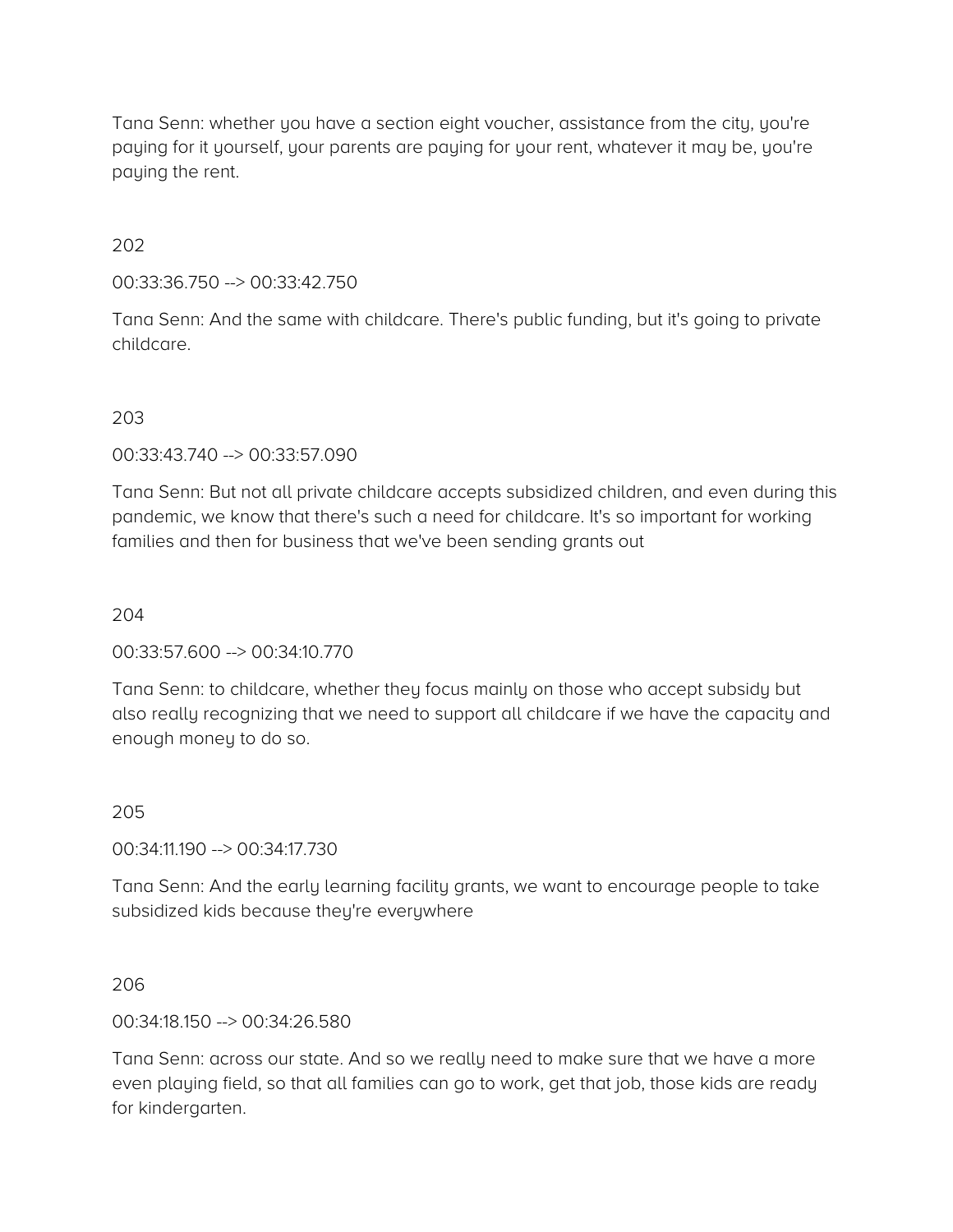Tana Senn: whether you have a section eight voucher, assistance from the city, you're paying for it yourself, your parents are paying for your rent, whatever it may be, you're paying the rent.

202

00:33:36.750 --> 00:33:42.750

Tana Senn: And the same with childcare. There's public funding, but it's going to private childcare.

### 203

00:33:43.740 --> 00:33:57.090

Tana Senn: But not all private childcare accepts subsidized children, and even during this pandemic, we know that there's such a need for childcare. It's so important for working families and then for business that we've been sending grants out

#### 204

00:33:57.600 --> 00:34:10.770

Tana Senn: to childcare, whether they focus mainly on those who accept subsidy but also really recognizing that we need to support all childcare if we have the capacity and enough money to do so.

#### 205

00:34:11.190 --> 00:34:17.730

Tana Senn: And the early learning facility grants, we want to encourage people to take subsidized kids because they're everywhere

#### 206

00:34:18.150 --> 00:34:26.580

Tana Senn: across our state. And so we really need to make sure that we have a more even playing field, so that all families can go to work, get that job, those kids are ready for kindergarten.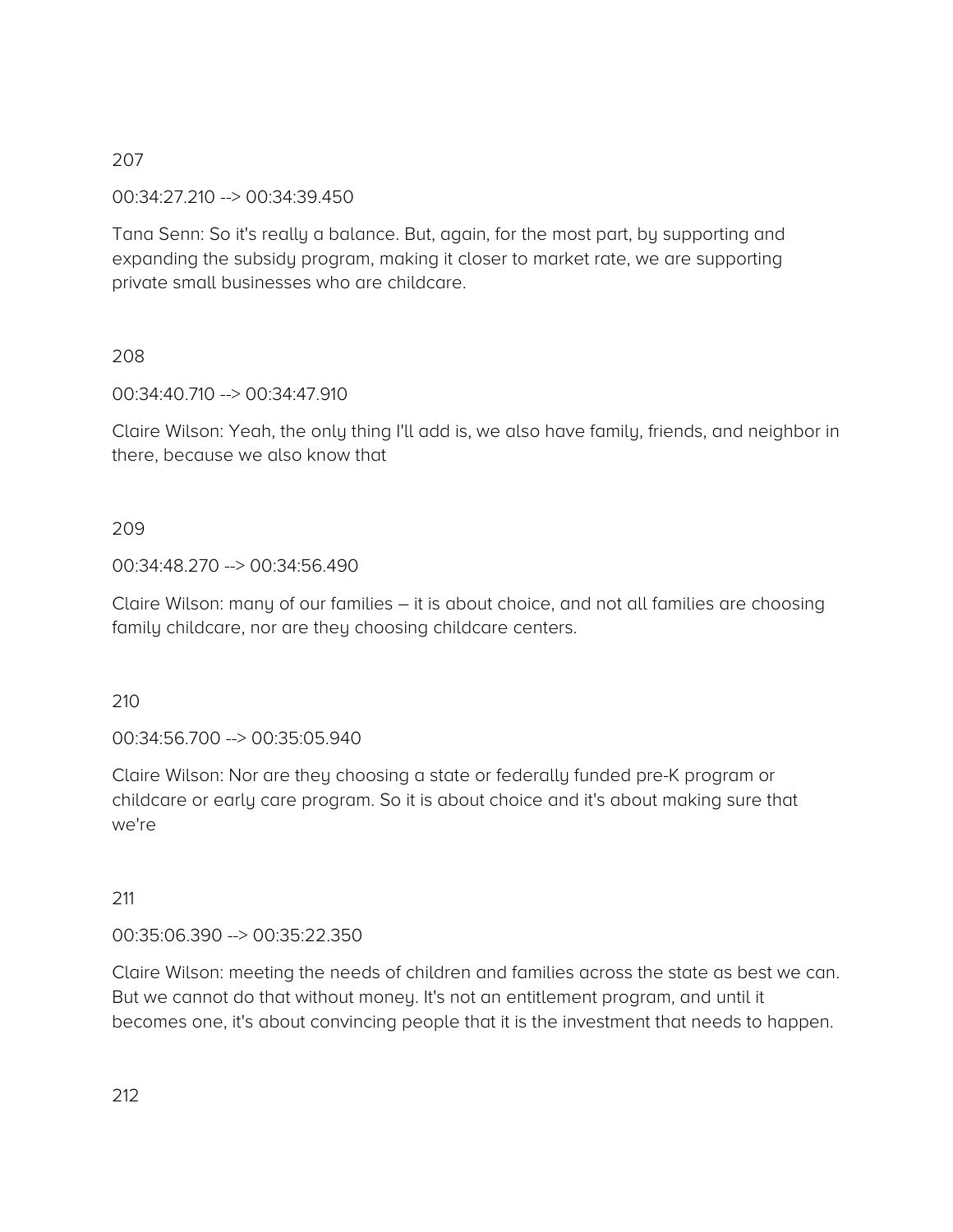00:34:27.210 --> 00:34:39.450

Tana Senn: So it's really a balance. But, again, for the most part, by supporting and expanding the subsidy program, making it closer to market rate, we are supporting private small businesses who are childcare.

# 208

00:34:40.710 --> 00:34:47.910

Claire Wilson: Yeah, the only thing I'll add is, we also have family, friends, and neighbor in there, because we also know that

# 209

# 00:34:48.270 --> 00:34:56.490

Claire Wilson: many of our families – it is about choice, and not all families are choosing family childcare, nor are they choosing childcare centers.

### 210

00:34:56.700 --> 00:35:05.940

Claire Wilson: Nor are they choosing a state or federally funded pre-K program or childcare or early care program. So it is about choice and it's about making sure that we're

### 211

### 00:35:06.390 --> 00:35:22.350

Claire Wilson: meeting the needs of children and families across the state as best we can. But we cannot do that without money. It's not an entitlement program, and until it becomes one, it's about convincing people that it is the investment that needs to happen.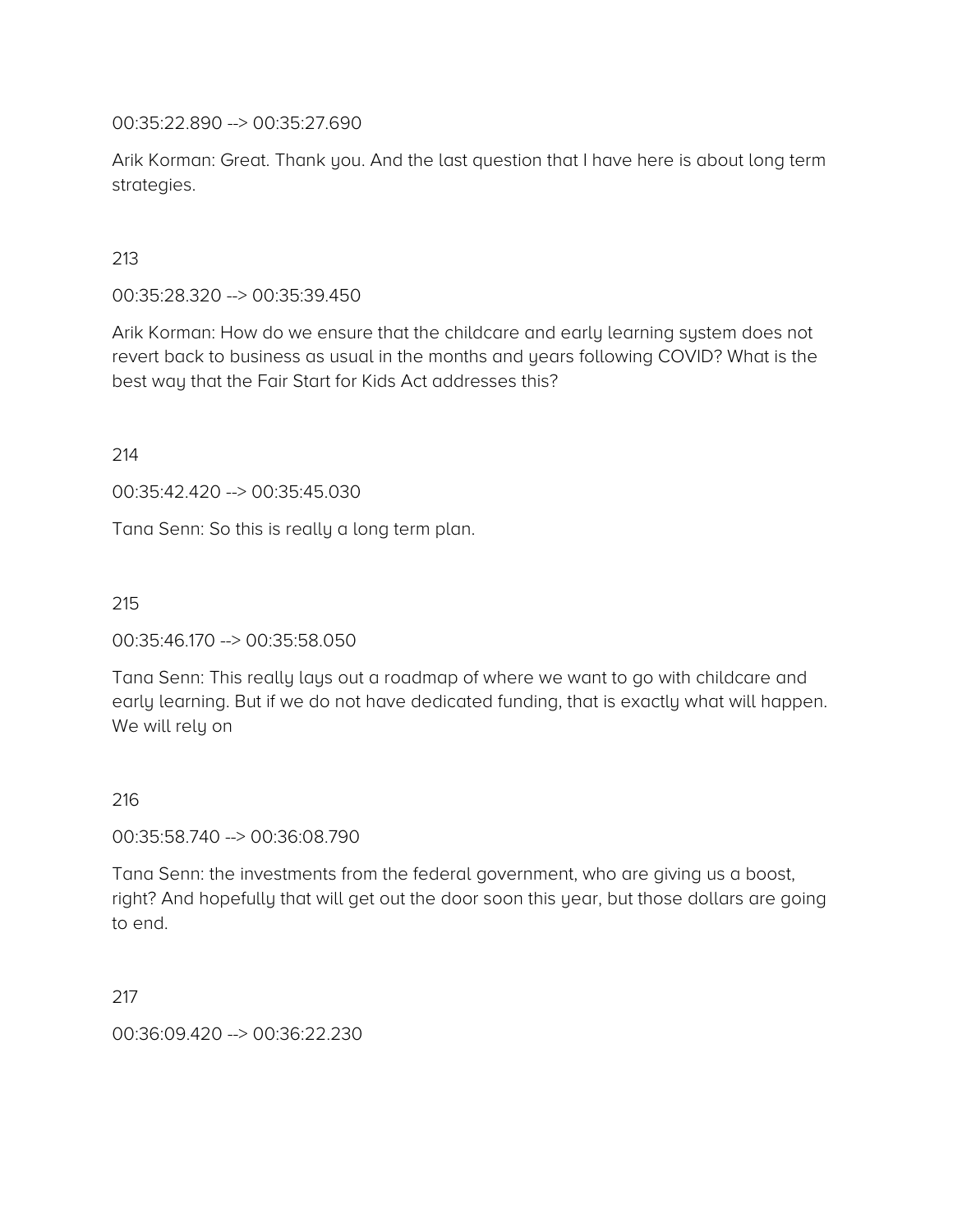00:35:22.890 --> 00:35:27.690

Arik Korman: Great. Thank you. And the last question that I have here is about long term strategies.

213

00:35:28.320 --> 00:35:39.450

Arik Korman: How do we ensure that the childcare and early learning system does not revert back to business as usual in the months and years following COVID? What is the best way that the Fair Start for Kids Act addresses this?

214

00:35:42.420 --> 00:35:45.030

Tana Senn: So this is really a long term plan.

215

00:35:46.170 --> 00:35:58.050

Tana Senn: This really lays out a roadmap of where we want to go with childcare and early learning. But if we do not have dedicated funding, that is exactly what will happen. We will rely on

216

00:35:58.740 --> 00:36:08.790

Tana Senn: the investments from the federal government, who are giving us a boost, right? And hopefully that will get out the door soon this year, but those dollars are going to end.

217

00:36:09.420 --> 00:36:22.230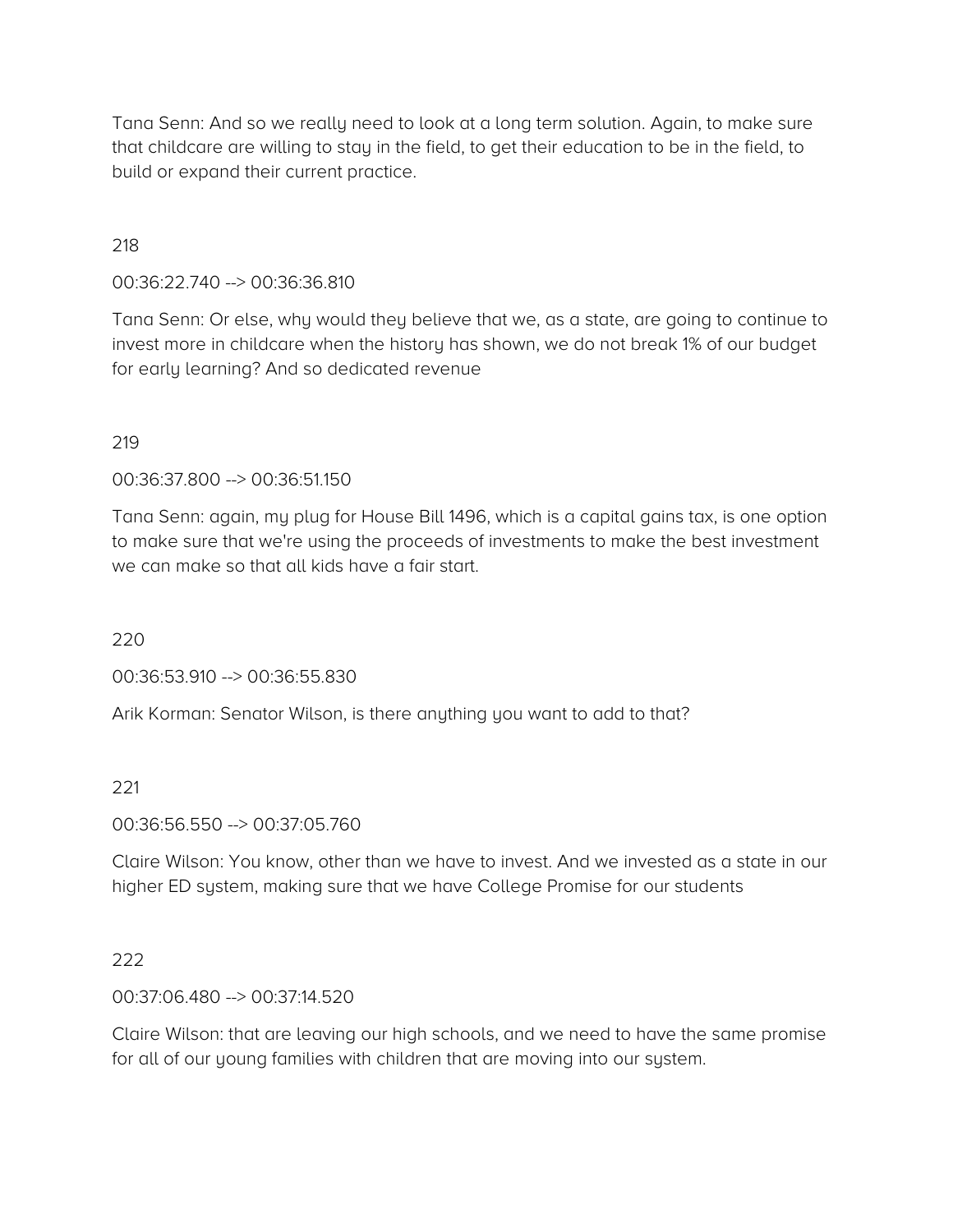Tana Senn: And so we really need to look at a long term solution. Again, to make sure that childcare are willing to stay in the field, to get their education to be in the field, to build or expand their current practice.

### 218

00:36:22.740 --> 00:36:36.810

Tana Senn: Or else, why would they believe that we, as a state, are going to continue to invest more in childcare when the history has shown, we do not break 1% of our budget for early learning? And so dedicated revenue

#### 219

00:36:37.800 --> 00:36:51.150

Tana Senn: again, my plug for House Bill 1496, which is a capital gains tax, is one option to make sure that we're using the proceeds of investments to make the best investment we can make so that all kids have a fair start.

220

00:36:53.910 --> 00:36:55.830

Arik Korman: Senator Wilson, is there anything you want to add to that?

#### 221

00:36:56.550 --> 00:37:05.760

Claire Wilson: You know, other than we have to invest. And we invested as a state in our higher ED system, making sure that we have College Promise for our students

#### 222

00:37:06.480 --> 00:37:14.520

Claire Wilson: that are leaving our high schools, and we need to have the same promise for all of our young families with children that are moving into our system.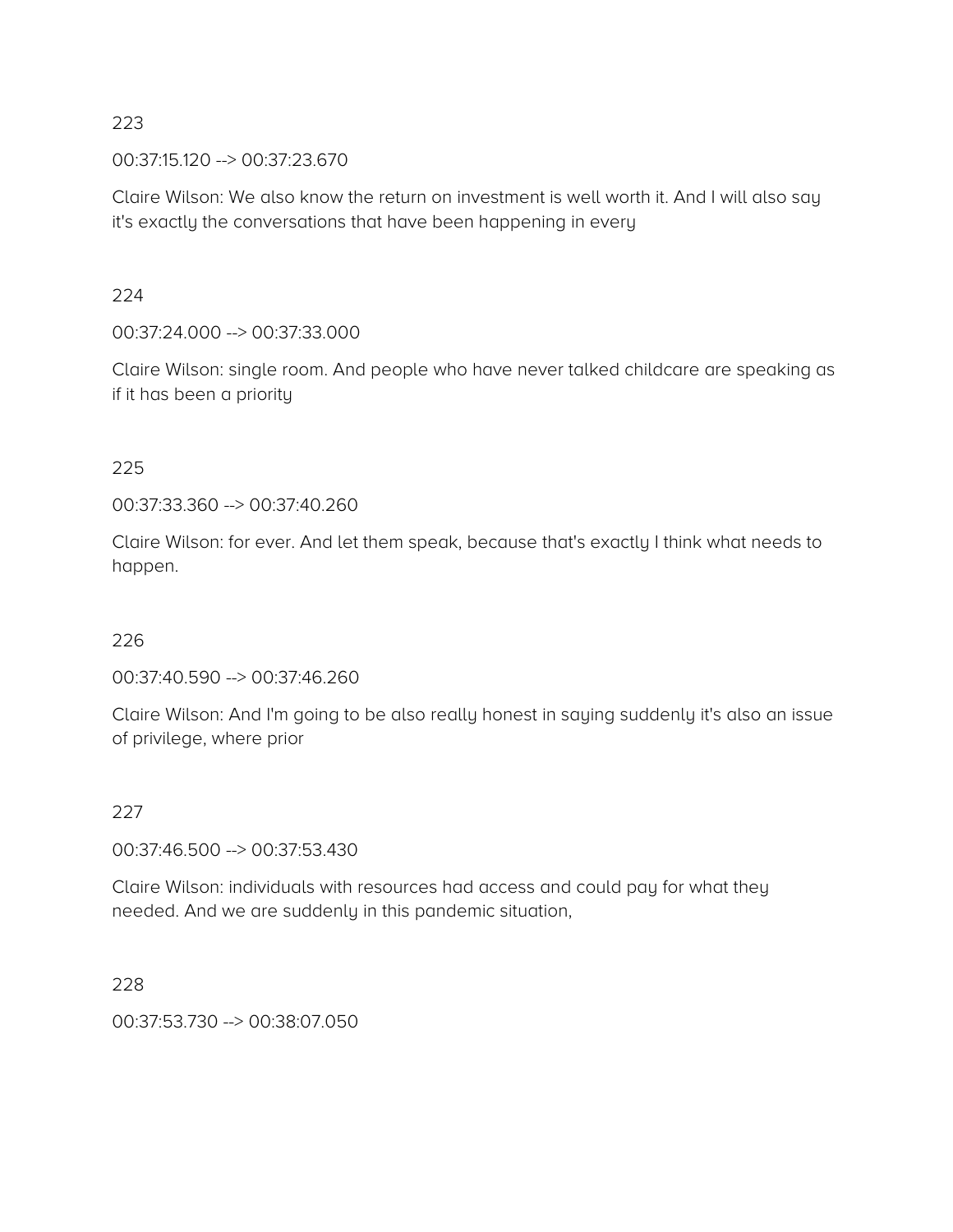00:37:15.120 --> 00:37:23.670

Claire Wilson: We also know the return on investment is well worth it. And I will also say it's exactly the conversations that have been happening in every

224

00:37:24.000 --> 00:37:33.000

Claire Wilson: single room. And people who have never talked childcare are speaking as if it has been a priority

### 225

00:37:33.360 --> 00:37:40.260

Claire Wilson: for ever. And let them speak, because that's exactly I think what needs to happen.

### 226

00:37:40.590 --> 00:37:46.260

Claire Wilson: And I'm going to be also really honest in saying suddenly it's also an issue of privilege, where prior

### 227

00:37:46.500 --> 00:37:53.430

Claire Wilson: individuals with resources had access and could pay for what they needed. And we are suddenly in this pandemic situation,

228

00:37:53.730 --> 00:38:07.050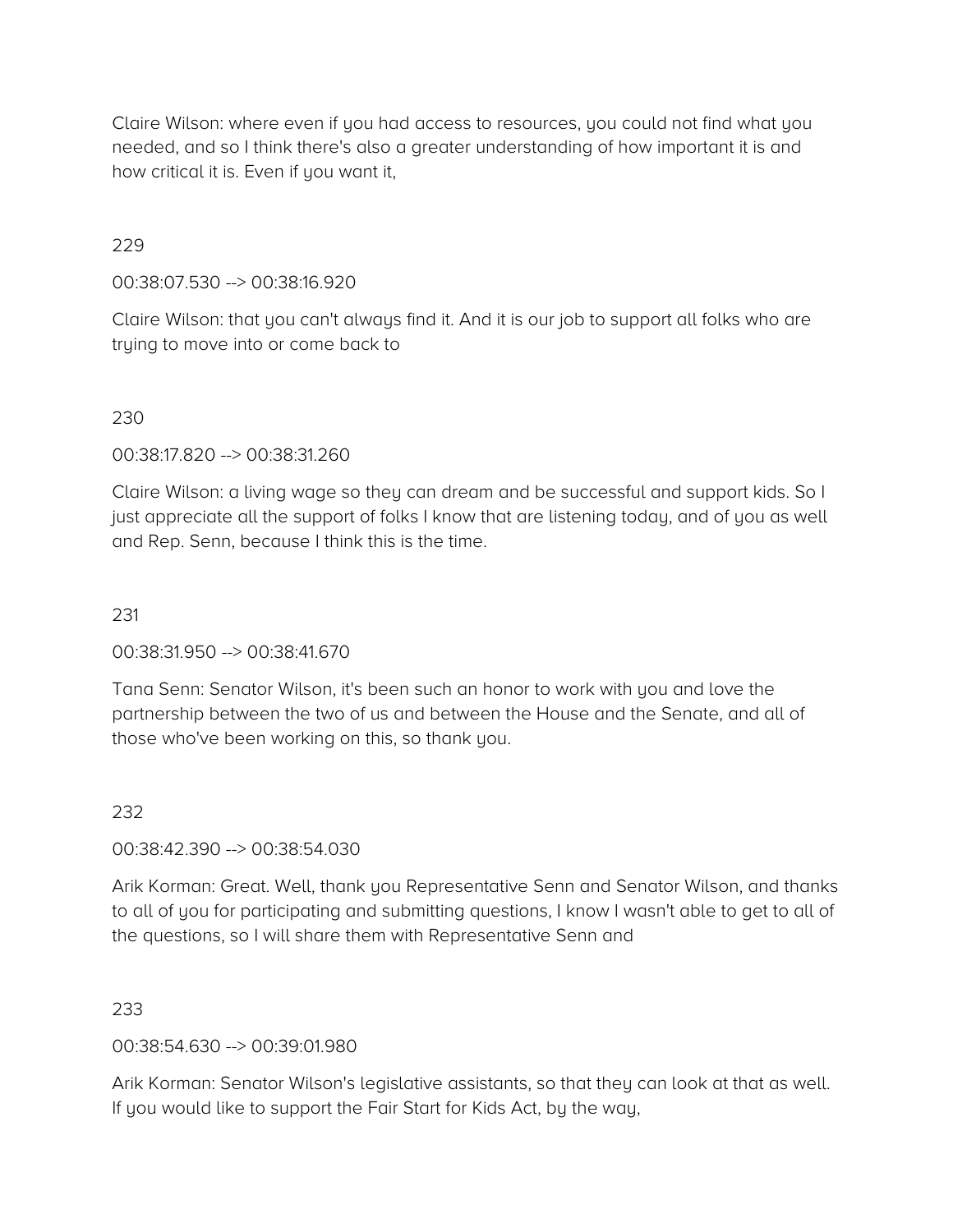Claire Wilson: where even if you had access to resources, you could not find what you needed, and so I think there's also a greater understanding of how important it is and how critical it is. Even if you want it,

### 229

00:38:07.530 --> 00:38:16.920

Claire Wilson: that you can't always find it. And it is our job to support all folks who are trying to move into or come back to

### 230

00:38:17.820 --> 00:38:31.260

Claire Wilson: a living wage so they can dream and be successful and support kids. So I just appreciate all the support of folks I know that are listening today, and of you as well and Rep. Senn, because I think this is the time.

### 231

00:38:31.950 --> 00:38:41.670

Tana Senn: Senator Wilson, it's been such an honor to work with you and love the partnership between the two of us and between the House and the Senate, and all of those who've been working on this, so thank you.

#### 232

00:38:42.390 --> 00:38:54.030

Arik Korman: Great. Well, thank you Representative Senn and Senator Wilson, and thanks to all of you for participating and submitting questions, I know I wasn't able to get to all of the questions, so I will share them with Representative Senn and

### 233

00:38:54.630 --> 00:39:01.980

Arik Korman: Senator Wilson's legislative assistants, so that they can look at that as well. If you would like to support the Fair Start for Kids Act, by the way,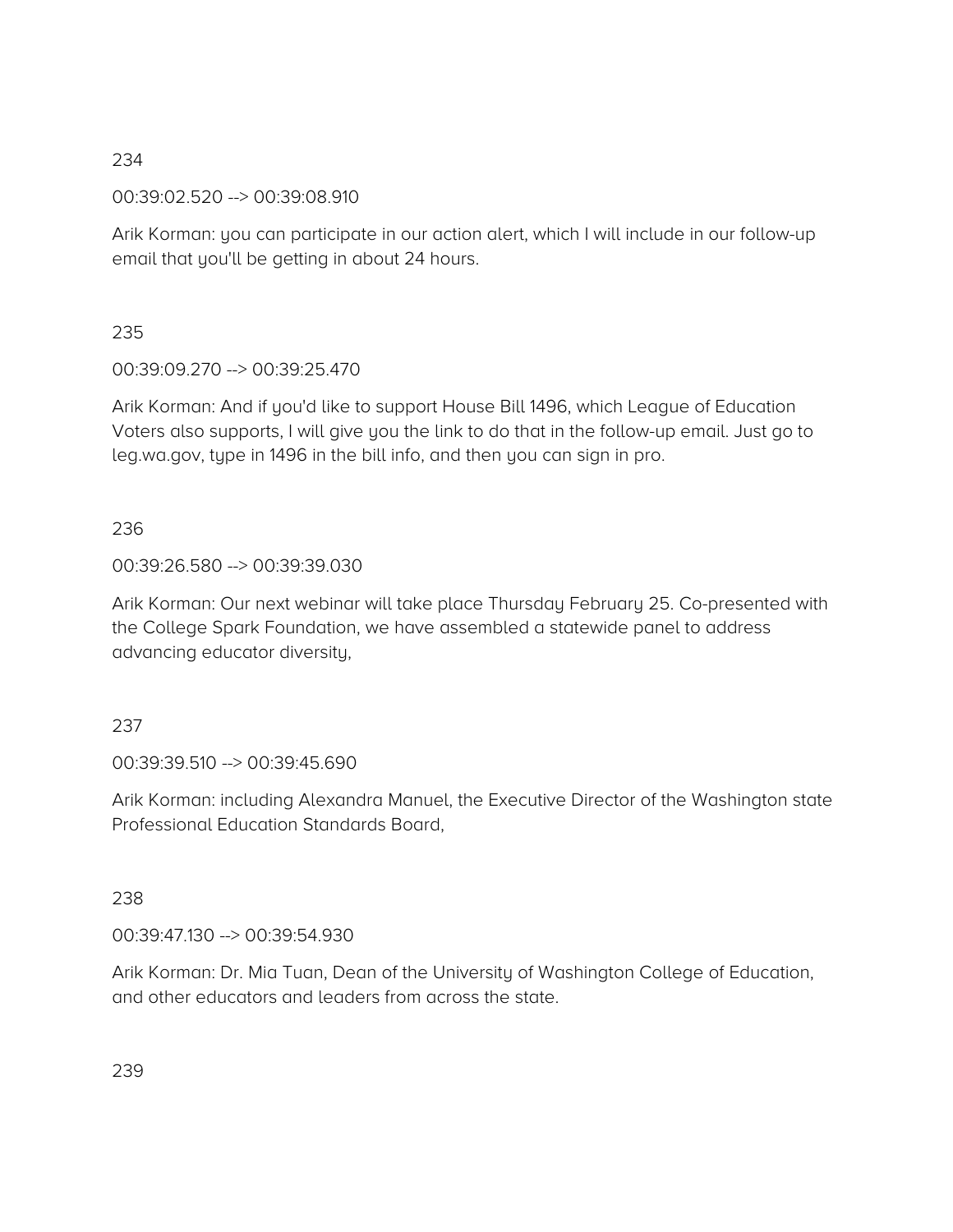00:39:02.520 --> 00:39:08.910

Arik Korman: you can participate in our action alert, which I will include in our follow-up email that you'll be getting in about 24 hours.

235

00:39:09.270 --> 00:39:25.470

Arik Korman: And if you'd like to support House Bill 1496, which League of Education Voters also supports, I will give you the link to do that in the follow-up email. Just go to leg.wa.gov, type in 1496 in the bill info, and then you can sign in pro.

# 236

### 00:39:26.580 --> 00:39:39.030

Arik Korman: Our next webinar will take place Thursday February 25. Co-presented with the College Spark Foundation, we have assembled a statewide panel to address advancing educator diversity,

### 237

00:39:39.510 --> 00:39:45.690

Arik Korman: including Alexandra Manuel, the Executive Director of the Washington state Professional Education Standards Board,

### 238

00:39:47.130 --> 00:39:54.930

Arik Korman: Dr. Mia Tuan, Dean of the University of Washington College of Education, and other educators and leaders from across the state.

239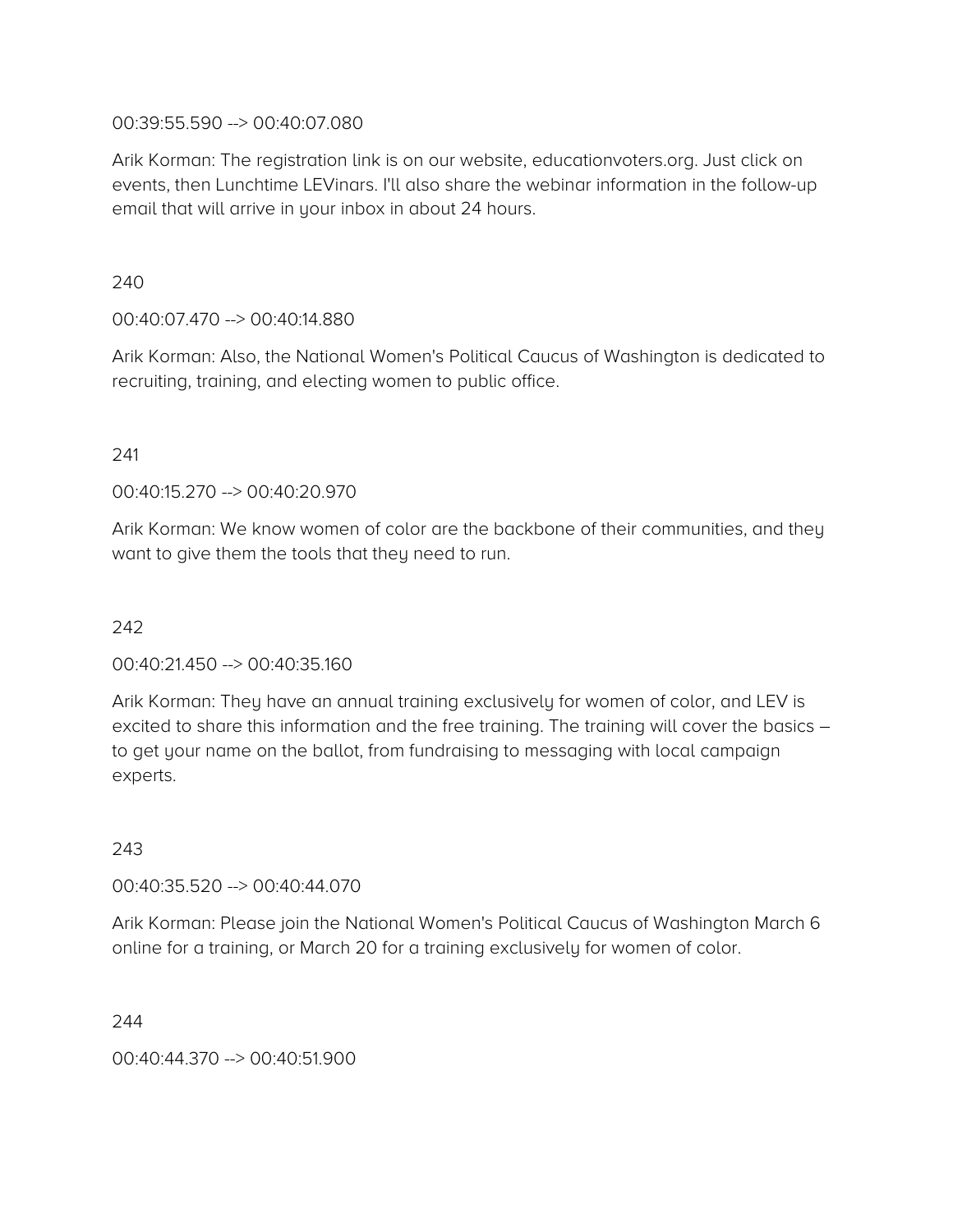### 00:39:55.590 --> 00:40:07.080

Arik Korman: The registration link is on our website, educationvoters.org. Just click on events, then Lunchtime LEVinars. I'll also share the webinar information in the follow-up email that will arrive in your inbox in about 24 hours.

240

### 00:40:07.470 --> 00:40:14.880

Arik Korman: Also, the National Women's Political Caucus of Washington is dedicated to recruiting, training, and electing women to public office.

#### 241

00:40:15.270 --> 00:40:20.970

Arik Korman: We know women of color are the backbone of their communities, and they want to give them the tools that they need to run.

### 242

00:40:21.450 --> 00:40:35.160

Arik Korman: They have an annual training exclusively for women of color, and LEV is excited to share this information and the free training. The training will cover the basics – to get your name on the ballot, from fundraising to messaging with local campaign experts.

#### 243

00:40:35.520 --> 00:40:44.070

Arik Korman: Please join the National Women's Political Caucus of Washington March 6 online for a training, or March 20 for a training exclusively for women of color.

#### 244

00:40:44.370 --> 00:40:51.900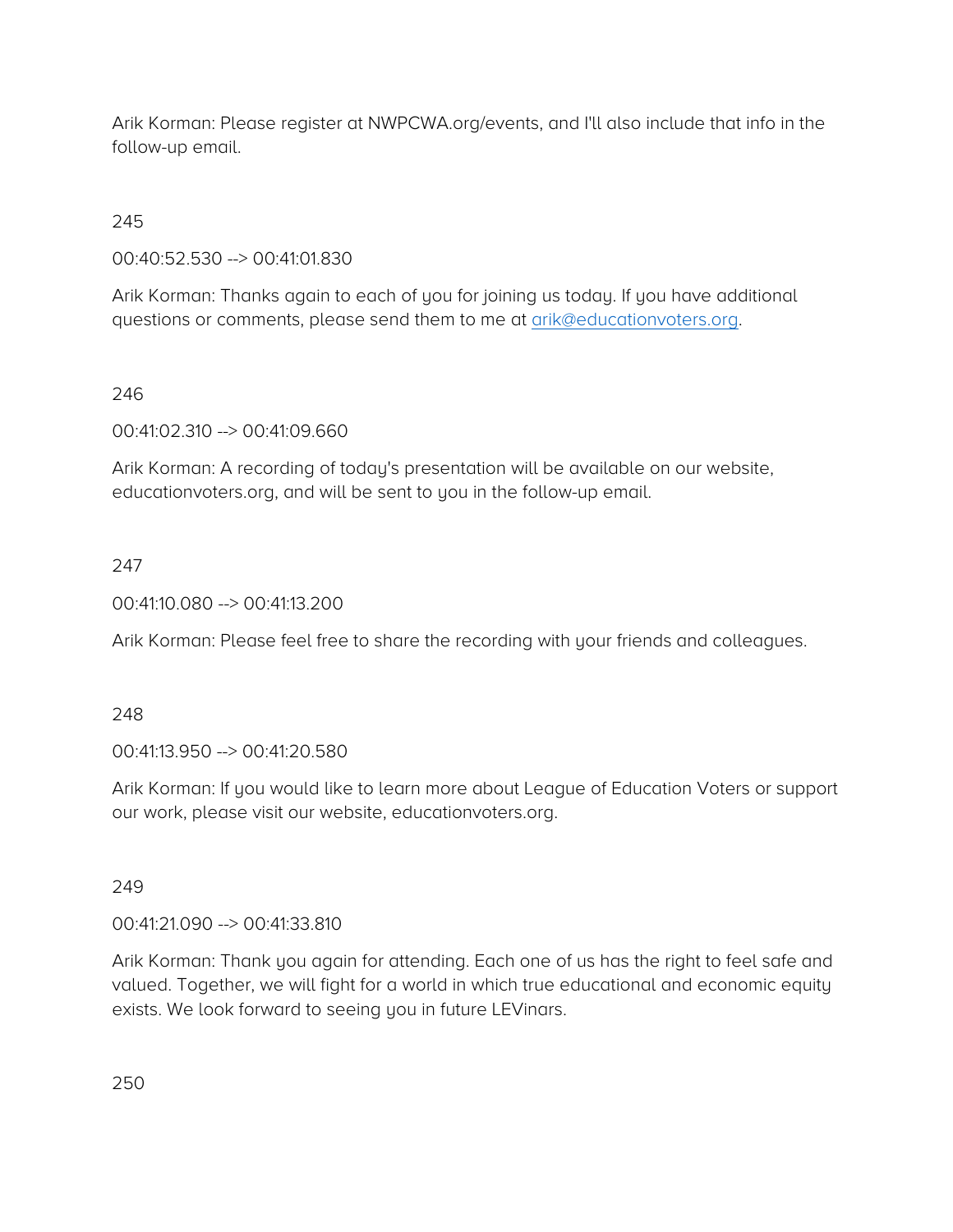Arik Korman: Please register at NWPCWA.org/events, and I'll also include that info in the follow-up email.

# 245

00:40:52.530 --> 00:41:01.830

Arik Korman: Thanks again to each of you for joining us today. If you have additional questions or comments, please send them to me at [arik@educationvoters.org.](mailto:arik@educationvoters.org)

### 246

00:41:02.310 --> 00:41:09.660

Arik Korman: A recording of today's presentation will be available on our website, educationvoters.org, and will be sent to you in the follow-up email.

# 247

00:41:10.080 --> 00:41:13.200

Arik Korman: Please feel free to share the recording with your friends and colleagues.

#### 248

00:41:13.950 --> 00:41:20.580

Arik Korman: If you would like to learn more about League of Education Voters or support our work, please visit our website, educationvoters.org.

### 249

00:41:21.090 --> 00:41:33.810

Arik Korman: Thank you again for attending. Each one of us has the right to feel safe and valued. Together, we will fight for a world in which true educational and economic equity exists. We look forward to seeing you in future LEVinars.

250